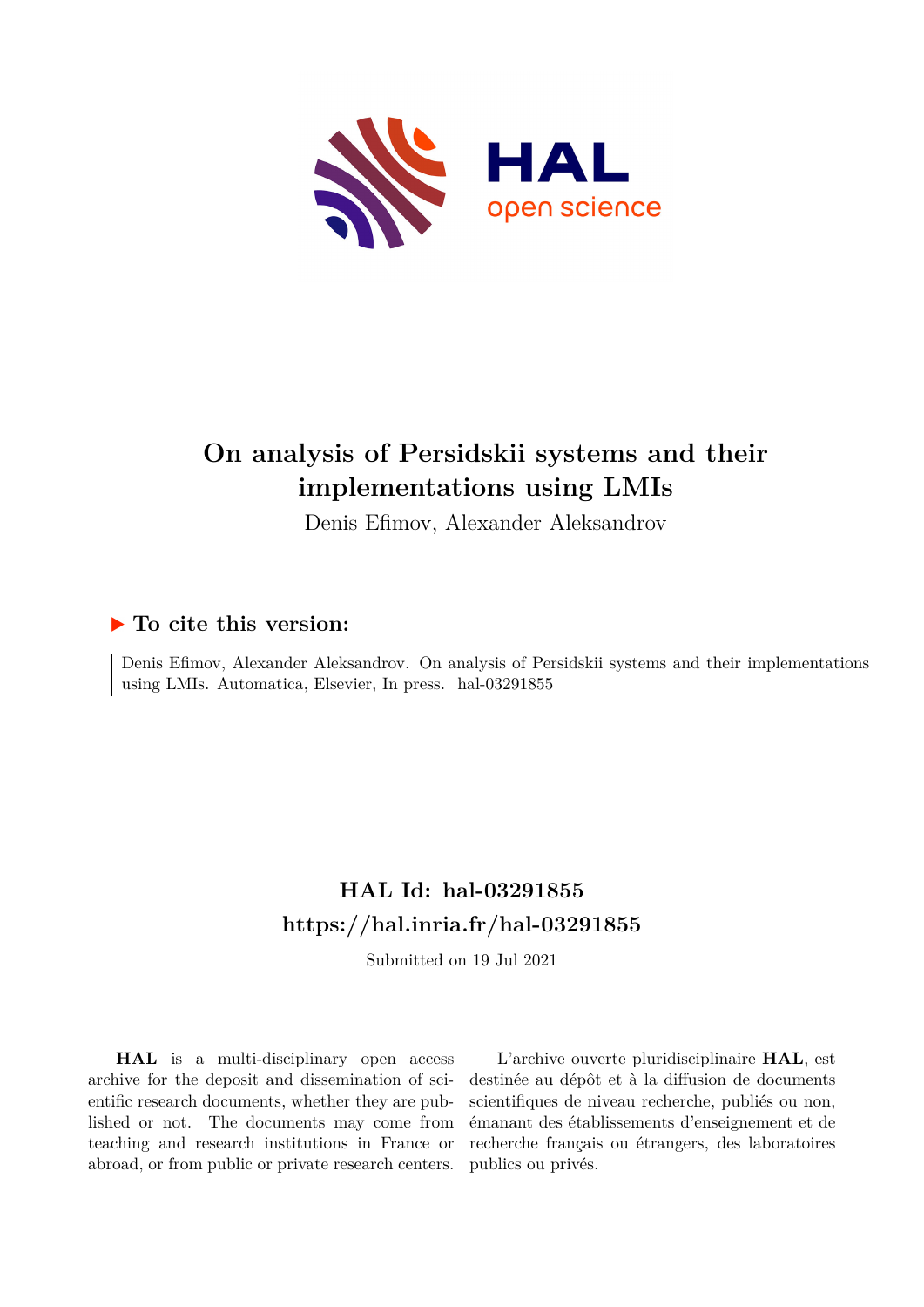

# **On analysis of Persidskii systems and their implementations using LMIs**

Denis Efimov, Alexander Aleksandrov

### **To cite this version:**

Denis Efimov, Alexander Aleksandrov. On analysis of Persidskii systems and their implementations using LMIs. Automatica, Elsevier, In press. hal-03291855

### **HAL Id: hal-03291855 <https://hal.inria.fr/hal-03291855>**

Submitted on 19 Jul 2021

**HAL** is a multi-disciplinary open access archive for the deposit and dissemination of scientific research documents, whether they are published or not. The documents may come from teaching and research institutions in France or abroad, or from public or private research centers.

L'archive ouverte pluridisciplinaire **HAL**, est destinée au dépôt et à la diffusion de documents scientifiques de niveau recherche, publiés ou non, émanant des établissements d'enseignement et de recherche français ou étrangers, des laboratoires publics ou privés.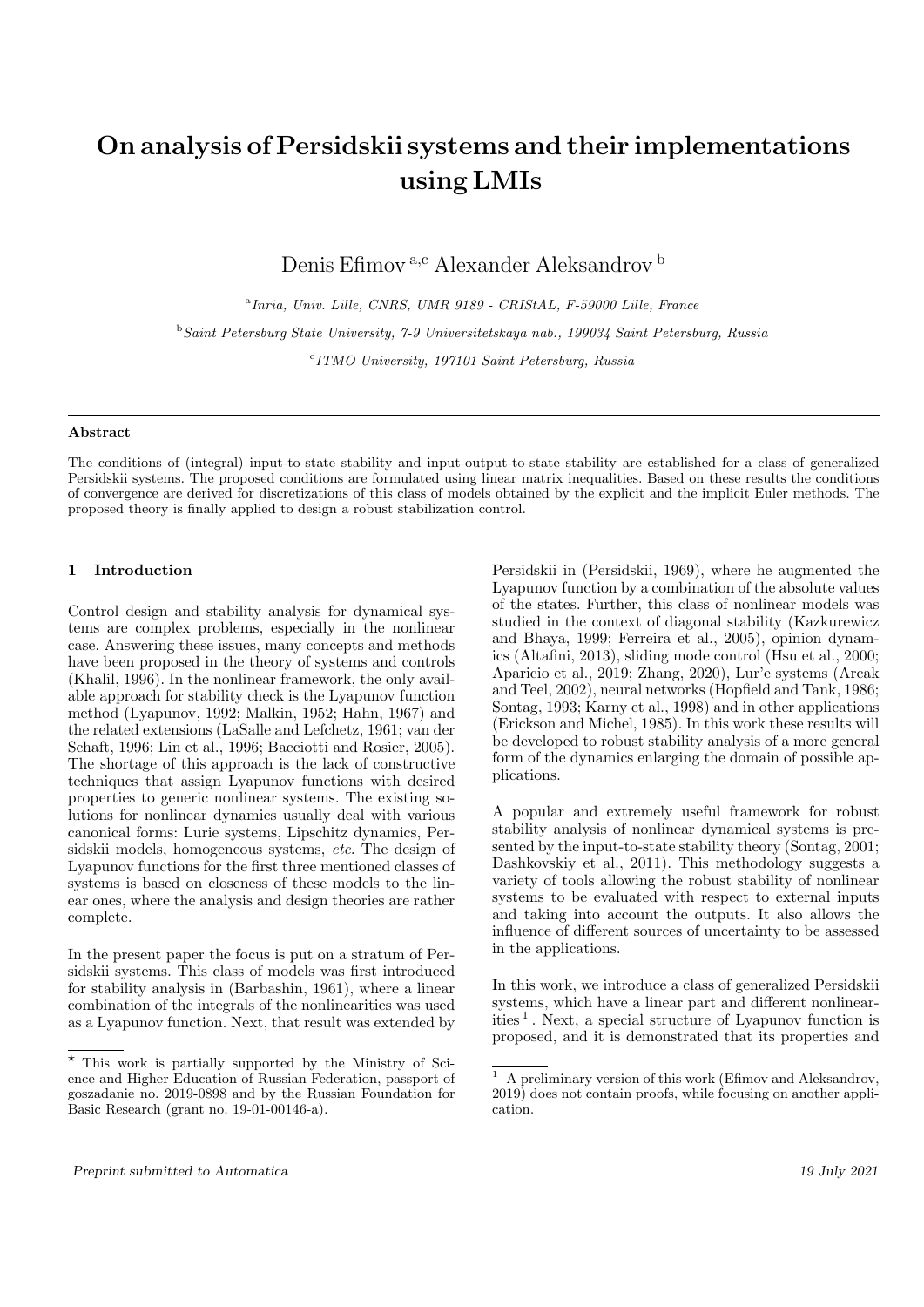## On analysis of Persidskii systems and their implementations using LMIs

Denis Efimov<sup>a,c</sup> Alexander Aleksandrov<sup>b</sup>

a Inria, Univ. Lille, CNRS, UMR 9189 - CRIStAL, F-59000 Lille, France <sup>b</sup>Saint Petersburg State University, 7-9 Universitetskaya nab., 199034 Saint Petersburg, Russia <sup>c</sup> ITMO University, 197101 Saint Petersburg, Russia

#### Abstract

The conditions of (integral) input-to-state stability and input-output-to-state stability are established for a class of generalized Persidskii systems. The proposed conditions are formulated using linear matrix inequalities. Based on these results the conditions of convergence are derived for discretizations of this class of models obtained by the explicit and the implicit Euler methods. The proposed theory is finally applied to design a robust stabilization control.

#### 1 Introduction

Control design and stability analysis for dynamical systems are complex problems, especially in the nonlinear case. Answering these issues, many concepts and methods have been proposed in the theory of systems and controls (Khalil, 1996). In the nonlinear framework, the only available approach for stability check is the Lyapunov function method (Lyapunov, 1992; Malkin, 1952; Hahn, 1967) and the related extensions (LaSalle and Lefchetz, 1961; van der Schaft, 1996; Lin et al., 1996; Bacciotti and Rosier, 2005). The shortage of this approach is the lack of constructive techniques that assign Lyapunov functions with desired properties to generic nonlinear systems. The existing solutions for nonlinear dynamics usually deal with various canonical forms: Lurie systems, Lipschitz dynamics, Persidskii models, homogeneous systems, etc. The design of Lyapunov functions for the first three mentioned classes of systems is based on closeness of these models to the linear ones, where the analysis and design theories are rather complete.

In the present paper the focus is put on a stratum of Persidskii systems. This class of models was first introduced for stability analysis in (Barbashin, 1961), where a linear combination of the integrals of the nonlinearities was used as a Lyapunov function. Next, that result was extended by Persidskii in (Persidskii, 1969), where he augmented the Lyapunov function by a combination of the absolute values of the states. Further, this class of nonlinear models was studied in the context of diagonal stability (Kazkurewicz and Bhaya, 1999; Ferreira et al., 2005), opinion dynamics (Altafini, 2013), sliding mode control (Hsu et al., 2000; Aparicio et al., 2019; Zhang, 2020), Lur'e systems (Arcak and Teel, 2002), neural networks (Hopfield and Tank, 1986; Sontag, 1993; Karny et al., 1998) and in other applications (Erickson and Michel, 1985). In this work these results will be developed to robust stability analysis of a more general form of the dynamics enlarging the domain of possible applications.

A popular and extremely useful framework for robust stability analysis of nonlinear dynamical systems is presented by the input-to-state stability theory (Sontag, 2001; Dashkovskiy et al., 2011). This methodology suggests a variety of tools allowing the robust stability of nonlinear systems to be evaluated with respect to external inputs and taking into account the outputs. It also allows the influence of different sources of uncertainty to be assessed in the applications.

In this work, we introduce a class of generalized Persidskii systems, which have a linear part and different nonlinearities <sup>1</sup> . Next, a special structure of Lyapunov function is proposed, and it is demonstrated that its properties and

 $\overline{\star}$  This work is partially supported by the Ministry of Science and Higher Education of Russian Federation, passport of goszadanie no. 2019-0898 and by the Russian Foundation for Basic Research (grant no. 19-01-00146-a).

<sup>1</sup> A preliminary version of this work (Efimov and Aleksandrov, 2019) does not contain proofs, while focusing on another application.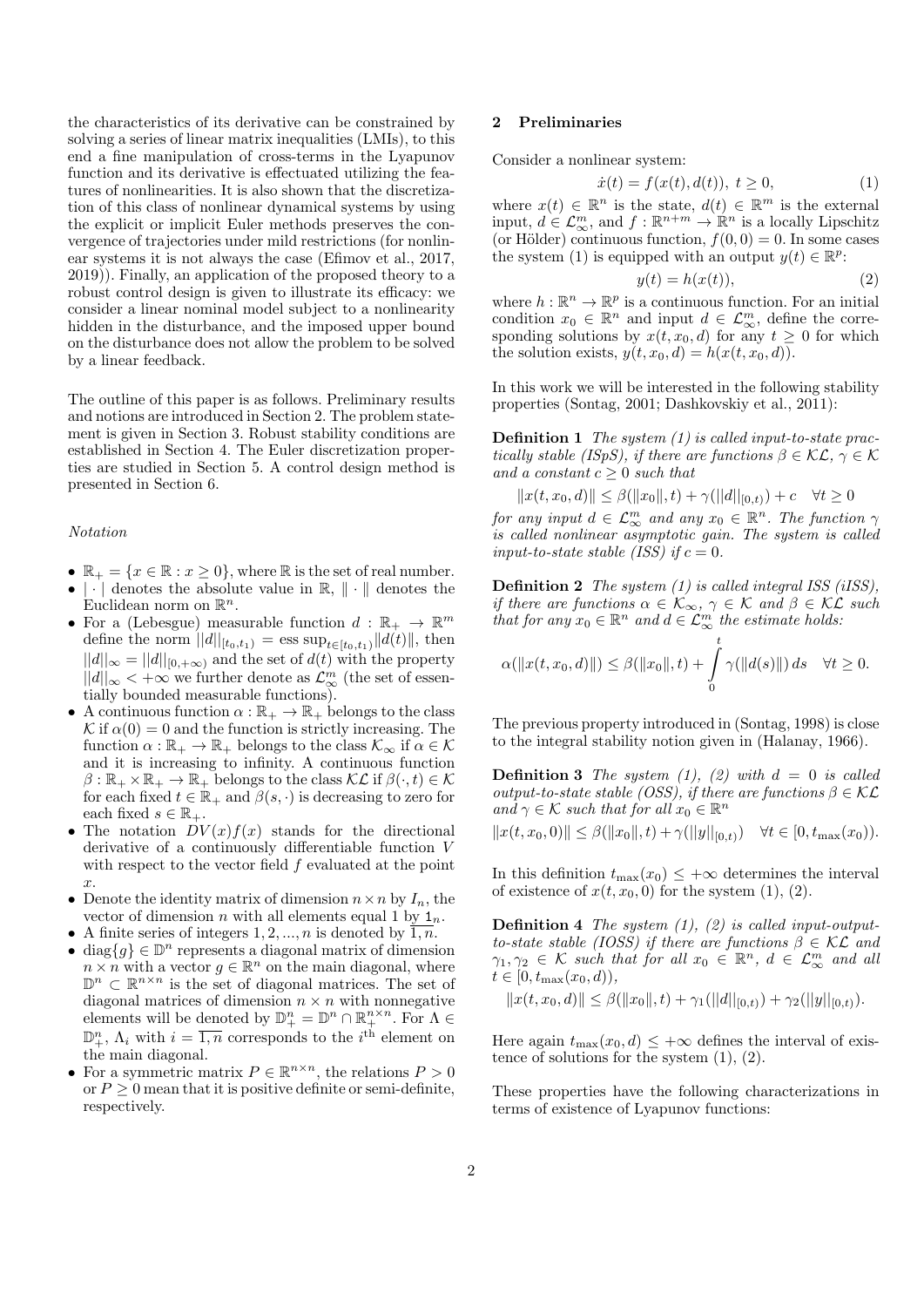the characteristics of its derivative can be constrained by solving a series of linear matrix inequalities (LMIs), to this end a fine manipulation of cross-terms in the Lyapunov function and its derivative is effectuated utilizing the features of nonlinearities. It is also shown that the discretization of this class of nonlinear dynamical systems by using the explicit or implicit Euler methods preserves the convergence of trajectories under mild restrictions (for nonlinear systems it is not always the case (Efimov et al., 2017, 2019)). Finally, an application of the proposed theory to a robust control design is given to illustrate its efficacy: we consider a linear nominal model subject to a nonlinearity hidden in the disturbance, and the imposed upper bound on the disturbance does not allow the problem to be solved by a linear feedback.

The outline of this paper is as follows. Preliminary results and notions are introduced in Section 2. The problem statement is given in Section 3. Robust stability conditions are established in Section 4. The Euler discretization properties are studied in Section 5. A control design method is presented in Section 6.

#### Notation

- $\mathbb{R}_+ = \{x \in \mathbb{R} : x \geq 0\}$ , where  $\mathbb R$  is the set of real number. •  $|\cdot|$  denotes the absolute value in  $\mathbb{R}, \|\cdot\|$  denotes the
- Euclidean norm on  $\mathbb{R}^n$ . • For a (Lebesgue) measurable function  $d : \mathbb{R}_+ \to \mathbb{R}^m$ define the norm  $||d||_{[t_0,t_1)} = \text{ess sup}_{t \in [t_0,t_1)} ||d(t)||$ , then  $||d||_{\infty} = ||d||_{[0,+\infty)}$  and the set of  $d(t)$  with the property  $||d||_{\infty}$  < +∞ we further denote as  $\mathcal{L}_{\infty}^{m}$  (the set of essentially bounded measurable functions).
- A continuous function  $\alpha : \mathbb{R}_+ \to \mathbb{R}_+$  belongs to the class K if  $\alpha(0) = 0$  and the function is strictly increasing. The function  $\alpha : \mathbb{R}_+ \to \mathbb{R}_+$  belongs to the class  $\mathcal{K}_{\infty}$  if  $\alpha \in \mathcal{K}$ and it is increasing to infinity. A continuous function  $\beta : \mathbb{R}_+ \times \mathbb{R}_+ \to \mathbb{R}_+$  belongs to the class  $\mathcal{KL}$  if  $\beta(\cdot, t) \in \mathcal{K}$ for each fixed  $t \in \mathbb{R}_+$  and  $\beta(s, \cdot)$  is decreasing to zero for each fixed  $s \in \mathbb{R}_+$ .
- The notation  $DV(x)f(x)$  stands for the directional derivative of a continuously differentiable function V with respect to the vector field  $f$  evaluated at the point  $\hat{x}$ .
- Denote the identity matrix of dimension  $n \times n$  by  $I_n$ , the vector of dimension *n* with all elements equal 1 by  $1_n$ .
- A finite series of integers  $1, 2, ..., n$  is denoted by  $\overline{1, n}$ .
- diag ${g} \in \mathbb{D}^n$  represents a diagonal matrix of dimension  $n \times n$  with a vector  $g \in \mathbb{R}^n$  on the main diagonal, where  $\mathbb{D}^n \subset \mathbb{R}^{n \times n}$  is the set of diagonal matrices. The set of diagonal matrices of dimension  $n \times n$  with nonnegative elements will be denoted by  $\mathbb{D}_{+}^{n} = \mathbb{D}^{n} \cap \mathbb{R}_{+}^{n \times n}$ . For  $\Lambda \in$  $\mathbb{D}^n_+$ ,  $\Lambda_i$  with  $i = \overline{1,n}$  corresponds to the  $i^{\text{th}}$  element on the main diagonal.
- For a symmetric matrix  $P \in \mathbb{R}^{n \times n}$ , the relations  $P > 0$ or  $P > 0$  mean that it is positive definite or semi-definite, respectively.

#### 2 Preliminaries

Consider a nonlinear system:

$$
\dot{x}(t) = f(x(t), d(t)), \ t \ge 0,
$$
\n(1)

where  $x(t) \in \mathbb{R}^n$  is the state,  $d(t) \in \mathbb{R}^m$  is the external input,  $d \in \mathcal{L}_{\infty}^m$ , and  $f : \mathbb{R}^{n+m} \to \mathbb{R}^n$  is a locally Lipschitz (or Hölder) continuous function,  $f(0, 0) = 0$ . In some cases the system (1) is equipped with an output  $y(t) \in \mathbb{R}^p$ :

$$
y(t) = h(x(t)),
$$
\n(2)

where  $h: \mathbb{R}^n \to \mathbb{R}^p$  is a continuous function. For an initial condition  $x_0 \in \mathbb{R}^n$  and input  $d \in \mathcal{L}_{\infty}^m$ , define the corresponding solutions by  $x(t, x_0, d)$  for any  $t \geq 0$  for which the solution exists,  $y(t, x_0, d) = h(x(t, x_0, d)).$ 

In this work we will be interested in the following stability properties (Sontag, 2001; Dashkovskiy et al., 2011):

**Definition 1** The system  $(1)$  is called input-to-state practically stable (ISpS), if there are functions  $\beta \in \mathcal{KL}$ ,  $\gamma \in \mathcal{K}$ and a constant  $c > 0$  such that

$$
||x(t, x_0, d)|| \le \beta(||x_0||, t) + \gamma(||d||_{[0,t)}) + c \quad \forall t \ge 0
$$

for any input  $d \in \mathcal{L}_{\infty}^m$  and any  $x_0 \in \mathbb{R}^n$ . The function  $\gamma$ is called nonlinear asymptotic gain. The system is called input-to-state stable (ISS) if  $c = 0$ .

Definition 2 The system (1) is called integral ISS (iISS), if there are functions  $\alpha \in \mathcal{K}_{\infty}$ ,  $\gamma \in \mathcal{K}$  and  $\beta \in \mathcal{KL}$  such that for any  $x_0 \in \mathbb{R}^n$  and  $d \in \mathcal{L}_{\infty}^m$  the estimate holds:

$$
\alpha(\|x(t, x_0, d)\|) \leq \beta(\|x_0\|, t) + \int_0^t \gamma(\|d(s)\|) ds \quad \forall t \geq 0.
$$

The previous property introduced in (Sontag, 1998) is close to the integral stability notion given in (Halanay, 1966).

**Definition 3** The system (1), (2) with  $d = 0$  is called output-to-state stable (OSS), if there are functions  $\beta \in \mathcal{KL}$ and  $\gamma \in \mathcal{K}$  such that for all  $x_0 \in \mathbb{R}^n$  $||x(t, x_0, 0)|| \leq \beta(||x_0||, t) + \gamma(||y||_{[0,t)}) \quad \forall t \in [0, t_{\max}(x_0)).$ 

In this definition  $t_{\text{max}}(x_0) \leq +\infty$  determines the interval of existence of  $x(t, x_0, 0)$  for the system  $(1), (2)$ .

**Definition 4** The system  $(1)$ ,  $(2)$  is called input-outputto-state stable (IOSS) if there are functions  $\beta \in \mathcal{KL}$  and  $\gamma_1, \gamma_2 \in \mathcal{K}$  such that for all  $x_0 \in \mathbb{R}^n$ ,  $d \in \mathcal{L}_{\infty}^m$  and all  $t \in [0, t_{\max}(x_0, d)),$ 

$$
||x(t, x_0, d)|| \leq \beta(||x_0||, t) + \gamma_1(||d||_{[0,t)}) + \gamma_2(||y||_{[0,t)}).
$$

Here again  $t_{\text{max}}(x_0, d) \leq +\infty$  defines the interval of existence of solutions for the system  $(1), (2)$ .

These properties have the following characterizations in terms of existence of Lyapunov functions: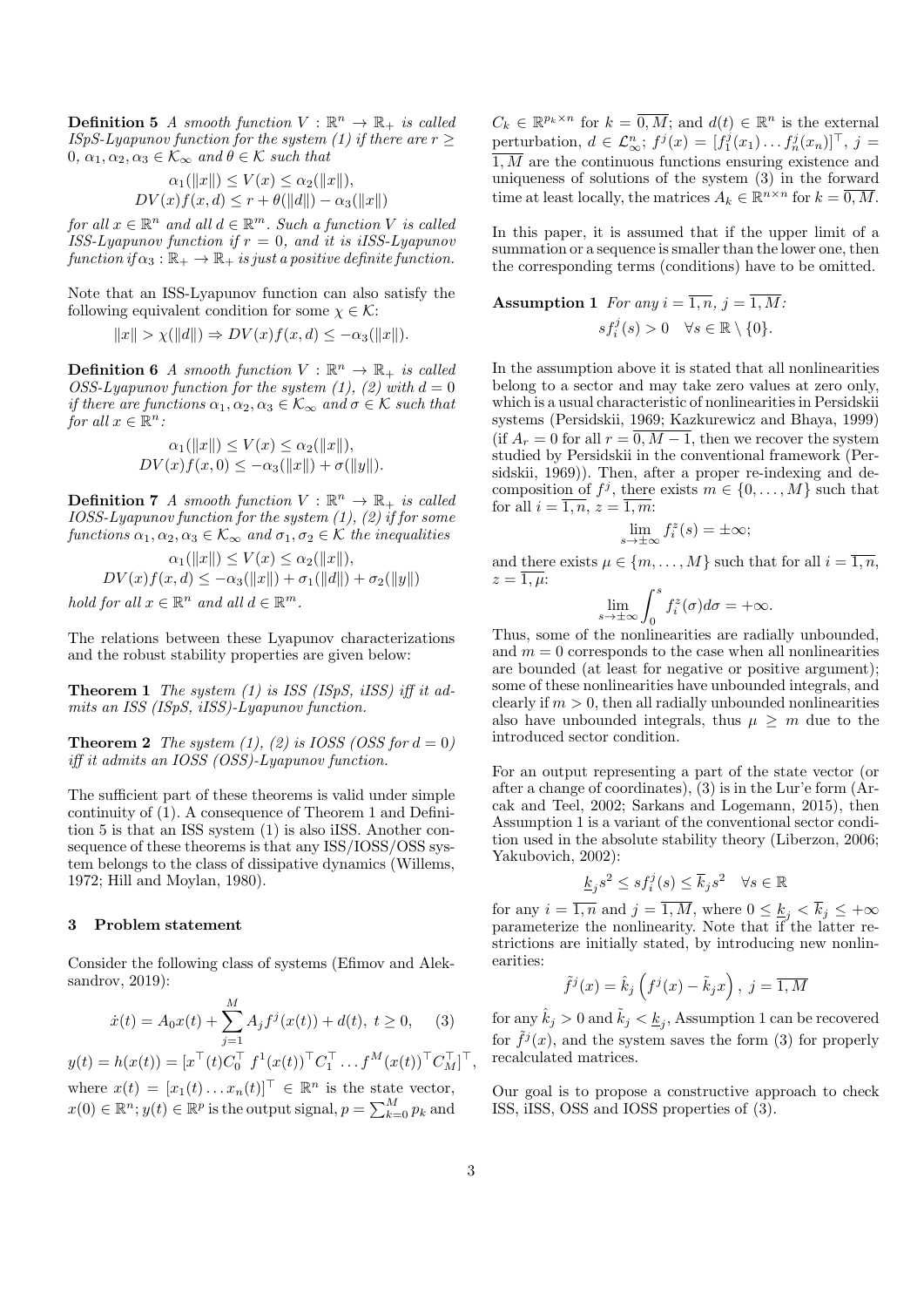**Definition 5** A smooth function  $V : \mathbb{R}^n \to \mathbb{R}_+$  is called ISpS-Lyapunov function for the system (1) if there are  $r \geq$  $0, \alpha_1, \alpha_2, \alpha_3 \in \mathcal{K}_{\infty}$  and  $\theta \in \mathcal{K}$  such that

$$
\alpha_1(||x||) \le V(x) \le \alpha_2(||x||),
$$
  

$$
DV(x)f(x,d) \le r + \theta(||d||) - \alpha_3(||x||)
$$

for all  $x \in \mathbb{R}^n$  and all  $d \in \mathbb{R}^m$ . Such a function V is called ISS-Lyapunov function if  $r = 0$ , and it is iISS-Lyapunov function if  $\alpha_3 : \mathbb{R}_+ \to \mathbb{R}_+$  is just a positive definite function.

Note that an ISS-Lyapunov function can also satisfy the following equivalent condition for some  $\chi \in \mathcal{K}$ :

$$
||x|| > \chi(||d||) \Rightarrow DV(x)f(x,d) \le -\alpha_3(||x||).
$$

**Definition 6** A smooth function  $V : \mathbb{R}^n \to \mathbb{R}_+$  is called OSS-Lyapunov function for the system (1), (2) with  $d = 0$ if there are functions  $\alpha_1, \alpha_2, \alpha_3 \in \mathcal{K}_{\infty}$  and  $\sigma \in \mathcal{K}$  such that for all  $x \in \mathbb{R}^n$ :

$$
\alpha_1(||x||) \le V(x) \le \alpha_2(||x||),
$$
  

$$
DV(x)f(x, 0) \le -\alpha_3(||x||) + \sigma(||y||).
$$

**Definition 7** A smooth function  $V : \mathbb{R}^n \to \mathbb{R}_+$  is called IOSS-Lyapunov function for the system  $(1)$ ,  $(2)$  if for some functions  $\alpha_1, \alpha_2, \alpha_3 \in \mathcal{K}_{\infty}$  and  $\sigma_1, \sigma_2 \in \mathcal{K}$  the inequalities

$$
\alpha_1(||x||) \le V(x) \le \alpha_2(||x||),
$$
  
\n
$$
DV(x)f(x,d) \le -\alpha_3(||x||) + \sigma_1(||d||) + \sigma_2(||y||)
$$
  
\nhold for all  $x \in \mathbb{R}^n$  and all  $d \in \mathbb{R}^m$ .

The relations between these Lyapunov characterizations and the robust stability properties are given below:

**Theorem 1** The system (1) is ISS (ISpS, iISS) iff it admits an ISS (ISpS, iISS)-Lyapunov function.

**Theorem 2** The system (1), (2) is IOSS (OSS for  $d = 0$ ) iff it admits an IOSS (OSS)-Lyapunov function.

The sufficient part of these theorems is valid under simple continuity of (1). A consequence of Theorem 1 and Definition 5 is that an ISS system (1) is also iISS. Another consequence of these theorems is that any  $ISS/IOSS/OSS$  system belongs to the class of dissipative dynamics (Willems, 1972; Hill and Moylan, 1980).

#### 3 Problem statement

Consider the following class of systems (Efimov and Aleksandrov, 2019):

$$
\dot{x}(t) = A_0 x(t) + \sum_{j=1}^{M} A_j f^j(x(t)) + d(t), \ t \ge 0, \quad (3)
$$

$$
y(t) = h(x(t)) = [x^\top(t)C_0^\top f^1(x(t))^\top C_1^\top \dots f^M(x(t))^\top C_M^\top]^\top,
$$
  
where  $x(t) = [x_1(t) \dots x_n(t)]^\top \in \mathbb{R}^n$  is the state vector,  
 $x(0) \in \mathbb{R}^n$ ;  $y(t) \in \mathbb{R}^p$  is the output signal,  $p = \sum_{k=0}^M p_k$  and

 $C_k \in \mathbb{R}^{p_k \times n}$  for  $k = \overline{0, M}$ ; and  $d(t) \in \mathbb{R}^n$  is the external perturbation,  $d \in \mathcal{L}_{\infty}^n$ ;  $f^j(x) = [f_1^j(x_1) \dots f_n^j(x_n)]^{\top}$ ,  $j =$  $\overline{1,M}$  are the continuous functions ensuring existence and uniqueness of solutions of the system (3) in the forward time at least locally, the matrices  $A_k \in \mathbb{R}^{n \times n}$  for  $k = \overline{0, M}$ .

In this paper, it is assumed that if the upper limit of a summation or a sequence is smaller than the lower one, then the corresponding terms (conditions) have to be omitted.

**Assumption 1** For any 
$$
i = \overline{1, n}, j = \overline{1, M}:
$$
  

$$
sf_i^j(s) > 0 \quad \forall s \in \mathbb{R} \setminus \{0\}.
$$

In the assumption above it is stated that all nonlinearities belong to a sector and may take zero values at zero only, which is a usual characteristic of nonlinearities in Persidskii systems (Persidskii, 1969; Kazkurewicz and Bhaya, 1999) (if  $A_r = 0$  for all  $r = \overline{0, M-1}$ , then we recover the system studied by Persidskii in the conventional framework (Persidskii, 1969)). Then, after a proper re-indexing and decomposition of  $f^j$ , there exists  $m \in \{0, \ldots, M\}$  such that for all  $i = \overline{1, n}, z = \overline{1, m}$ :

$$
\lim_{s \to \pm \infty} f_i^z(s) = \pm \infty;
$$

and there exists  $\mu \in \{m, \ldots, M\}$  such that for all  $i = \overline{1, n}$ .  $z=\overline{1,\mu}$ 

$$
\lim_{s \to \pm \infty} \int_0^s f_i^z(\sigma) d\sigma = +\infty.
$$

Thus, some of the nonlinearities are radially unbounded, and  $m = 0$  corresponds to the case when all nonlinearities are bounded (at least for negative or positive argument); some of these nonlinearities have unbounded integrals, and clearly if  $m > 0$ , then all radially unbounded nonlinearities also have unbounded integrals, thus  $\mu \geq m$  due to the introduced sector condition.

For an output representing a part of the state vector (or after a change of coordinates), (3) is in the Lur'e form (Arcak and Teel, 2002; Sarkans and Logemann, 2015), then Assumption 1 is a variant of the conventional sector condition used in the absolute stability theory (Liberzon, 2006; Yakubovich, 2002):

$$
\underline{k}_j s^2 \le s f_i^j(s) \le \overline{k}_j s^2 \quad \forall s \in \mathbb{R}
$$

for any  $i = \overline{1, n}$  and  $j = \overline{1, M}$ , where  $0 \leq \underline{k}_j < \overline{k}_j \leq +\infty$ parameterize the nonlinearity. Note that if the latter restrictions are initially stated, by introducing new nonlinearities:

$$
\tilde{f}^{j}(x) = \hat{k}_{j}\left(f^{j}(x) - \tilde{k}_{j}x\right), \ j = \overline{1, M}
$$

for any  $\hat{k}_j > 0$  and  $\tilde{k}_j < \underline{k}_j$ , Assumption 1 can be recovered for  $\tilde{f}^{j}(x)$ , and the system saves the form (3) for properly recalculated matrices.

Our goal is to propose a constructive approach to check ISS, iISS, OSS and IOSS properties of (3).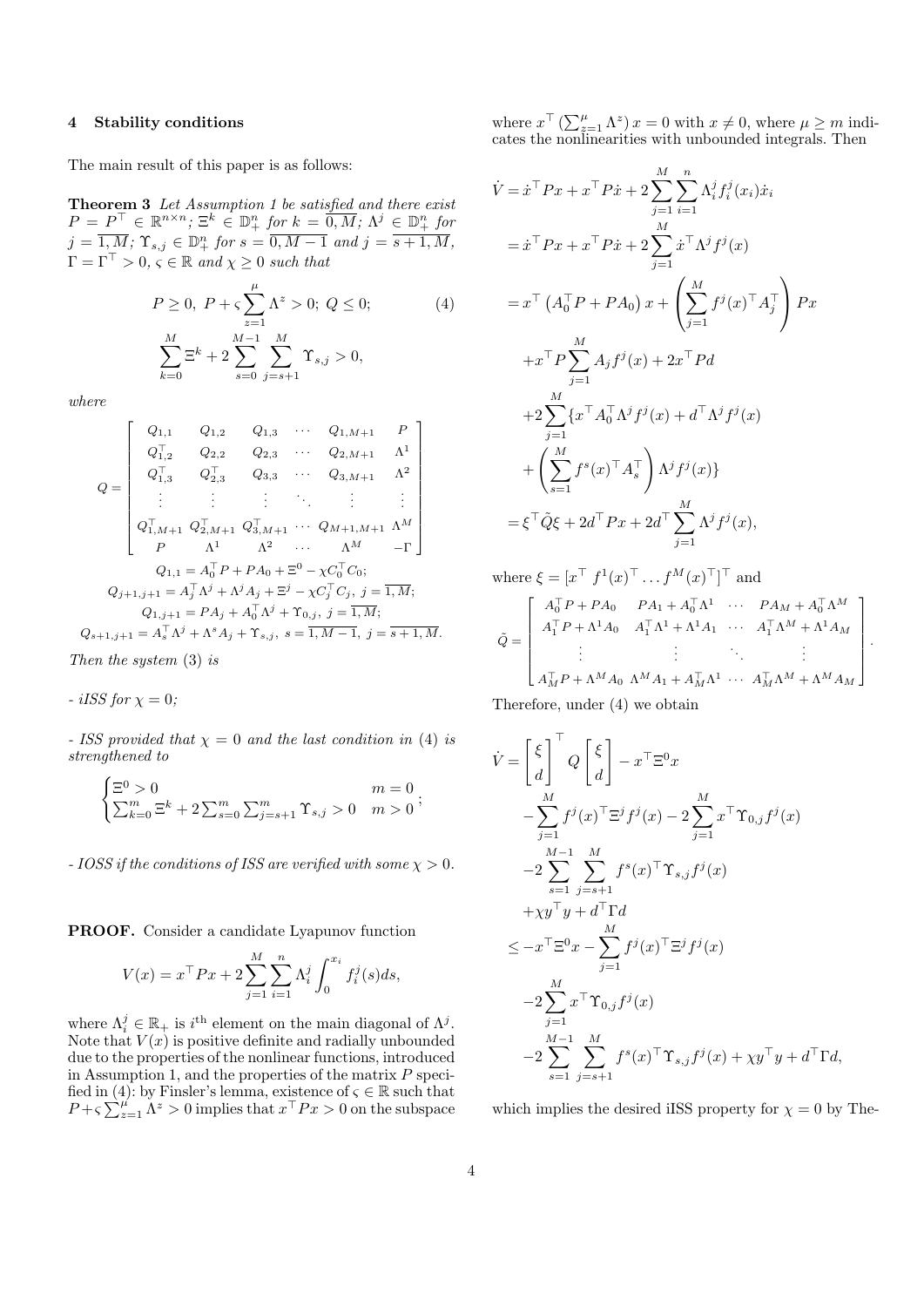#### 4 Stability conditions

The main result of this paper is as follows:

Theorem 3 Let Assumption 1 be satisfied and there exist  $P = P^{\top} \in \mathbb{R}^{n \times n}$ ;  $\Xi^k \in \mathbb{D}^n_+$  for  $k = \overline{0, M}$ ;  $\Lambda^j \in \mathbb{D}^n_+$  for  $j = \overline{1, M}; \, \Upsilon_{s,j} \in \mathbb{D}^n_+$  for  $s = \overline{0, M-1}$  and  $j = \overline{s+1, M},$  $\Gamma = \Gamma^{\top} > 0, \, \varsigma \in \mathbb{R} \text{ and } \chi \geq 0 \text{ such that}$ 

$$
P \ge 0, \ P + \varsigma \sum_{z=1}^{\mu} \Lambda^z > 0; \ Q \le 0; \tag{4}
$$

$$
\sum_{k=0}^{M} \Xi^k + 2 \sum_{s=0}^{M-1} \sum_{j=s+1}^{M} \Upsilon_{s,j} > 0,
$$

where

$$
Q = \begin{bmatrix} Q_{1,1} & Q_{1,2} & Q_{1,3} & \cdots & Q_{1,M+1} & P \\ Q_{1,2}^{\top} & Q_{2,2} & Q_{2,3} & \cdots & Q_{2,M+1} & \Lambda^1 \\ Q_{1,3}^{\top} & Q_{2,3}^{\top} & Q_{3,3} & \cdots & Q_{3,M+1} & \Lambda^2 \\ \vdots & \vdots & \vdots & \ddots & \vdots & \vdots \\ Q_{1,M+1}^{\top} & Q_{2,M+1}^{\top} & Q_{3,M+1}^{\top} & \cdots & Q_{M+1,M+1} & \Lambda^M \\ P & \Lambda^1 & \Lambda^2 & \cdots & \Lambda^M & -\Gamma \end{bmatrix}
$$

$$
Q_{1,1} = A_0^{\top} P + P A_0 + \Xi^0 - \chi C_0^{\top} C_0;
$$

$$
Q_{j+1,j+1} = A_j^{\top} \Lambda^j + \Lambda^j A_j + \Xi^j - \chi C_j^{\top} C_j, j = \overline{1, M};
$$

$$
Q_{1,j+1} = P A_j + A_0^{\top} \Lambda^j + \Upsilon_{0,j}, j = \overline{1, M};
$$

$$
Q_{s+1,j+1} = A_s^{\top} \Lambda^j + \Lambda^s A_j + \Upsilon_{s,j}, s = \overline{1, M-1}, j = \overline{s+1, M}.
$$

Then the system (3) is

- *iISS for* 
$$
\chi = 0
$$
;

- ISS provided that  $\chi = 0$  and the last condition in (4) is strengthened to

$$
\begin{cases} \Xi^0 > 0 & m=0\\ \sum_{k=0}^m \Xi^k + 2 \sum_{s=0}^m \sum_{j=s+1}^m \Upsilon_{s,j} > 0 & m > 0 \end{cases};
$$

- IOSS if the conditions of ISS are verified with some  $\chi > 0$ .

PROOF. Consider a candidate Lyapunov function

$$
V(x) = x^{\top} P x + 2 \sum_{j=1}^{M} \sum_{i=1}^{n} \Lambda_i^j \int_0^{x_i} f_i^j(s) ds,
$$

where  $\Lambda_i^j \in \mathbb{R}_+$  is  $i^{\text{th}}$  element on the main diagonal of  $\Lambda^j$ . Note that  $V(x)$  is positive definite and radially unbounded due to the properties of the nonlinear functions, introduced in Assumption 1, and the properties of the matrix  $P$  specified in (4): by Finsler's lemma, existence of  $\varsigma \in \mathbb{R}$  such that  $P + \varsigma \sum_{z=1}^{\mu} \Lambda^z > 0$  implies that  $x^{\top} Px > 0$  on the subspace

where  $x^{\top}$   $(\sum_{z=1}^{\mu} \Lambda^z) x = 0$  with  $x \neq 0$ , where  $\mu \geq m$  indicates the nonlinearities with unbounded integrals. Then

$$
\dot{V} = \dot{x}^{\top} P x + x^{\top} P \dot{x} + 2 \sum_{j=1}^{M} \sum_{i=1}^{n} \Lambda_{i}^{j} f_{i}^{j}(x_{i}) \dot{x}_{i}
$$
\n
$$
= \dot{x}^{\top} P x + x^{\top} P \dot{x} + 2 \sum_{j=1}^{M} \dot{x}^{\top} \Lambda^{j} f^{j}(x)
$$
\n
$$
= x^{\top} (A_{0}^{\top} P + P A_{0}) x + \left( \sum_{j=1}^{M} f^{j}(x)^{\top} A_{j}^{\top} \right) P x
$$
\n
$$
+ x^{\top} P \sum_{j=1}^{M} A_{j} f^{j}(x) + 2x^{\top} P d
$$
\n
$$
+ 2 \sum_{j=1}^{M} \{ x^{\top} A_{0}^{\top} \Lambda^{j} f^{j}(x) + d^{\top} \Lambda^{j} f^{j}(x)
$$
\n
$$
+ \left( \sum_{s=1}^{M} f^{s}(x)^{\top} A_{s}^{\top} \right) \Lambda^{j} f^{j}(x) \}
$$
\n
$$
= \xi^{\top} \tilde{Q} \xi + 2d^{\top} P x + 2d^{\top} \sum_{j=1}^{M} \Lambda^{j} f^{j}(x),
$$

where  $\xi = [x^\top f^1(x)^\top \dots f^M(x)^\top]^\top$  and

$$
\tilde{Q} = \begin{bmatrix}\nA_0^\top P + PA_0 & PA_1 + A_0^\top \Lambda^1 & \cdots & PA_M + A_0^\top \Lambda^M \\
A_1^\top P + \Lambda^1 A_0 & A_1^\top \Lambda^1 + \Lambda^1 A_1 & \cdots & A_1^\top \Lambda^M + \Lambda^1 A_M \\
\vdots & \vdots & \ddots & \vdots \\
A_M^\top P + \Lambda^M A_0 & \Lambda^M A_1 + A_M^\top \Lambda^1 & \cdots & A_M^\top \Lambda^M + \Lambda^M A_M\n\end{bmatrix}
$$

.

Therefore, under (4) we obtain

$$
\dot{V} = \begin{bmatrix} \xi \\ d \end{bmatrix}^{\top} Q \begin{bmatrix} \xi \\ d \end{bmatrix} - x^{\top} \Xi^{0} x
$$
  
\n
$$
- \sum_{j=1}^{M} f^{j}(x)^{\top} \Xi^{j} f^{j}(x) - 2 \sum_{j=1}^{M} x^{\top} \Upsilon_{0,j} f^{j}(x)
$$
  
\n
$$
-2 \sum_{s=1}^{M-1} \sum_{j=s+1}^{M} f^{s}(x)^{\top} \Upsilon_{s,j} f^{j}(x)
$$
  
\n
$$
+ \chi y^{\top} y + d^{\top} \Gamma d
$$
  
\n
$$
\leq -x^{\top} \Xi^{0} x - \sum_{j=1}^{M} f^{j}(x)^{\top} \Xi^{j} f^{j}(x)
$$
  
\n
$$
-2 \sum_{j=1}^{M} x^{\top} \Upsilon_{0,j} f^{j}(x)
$$
  
\n
$$
-2 \sum_{s=1}^{M-1} \sum_{j=s+1}^{M} f^{s}(x)^{\top} \Upsilon_{s,j} f^{j}(x) + \chi y^{\top} y + d^{\top} \Gamma d,
$$

which implies the desired iISS property for  $\chi = 0$  by The-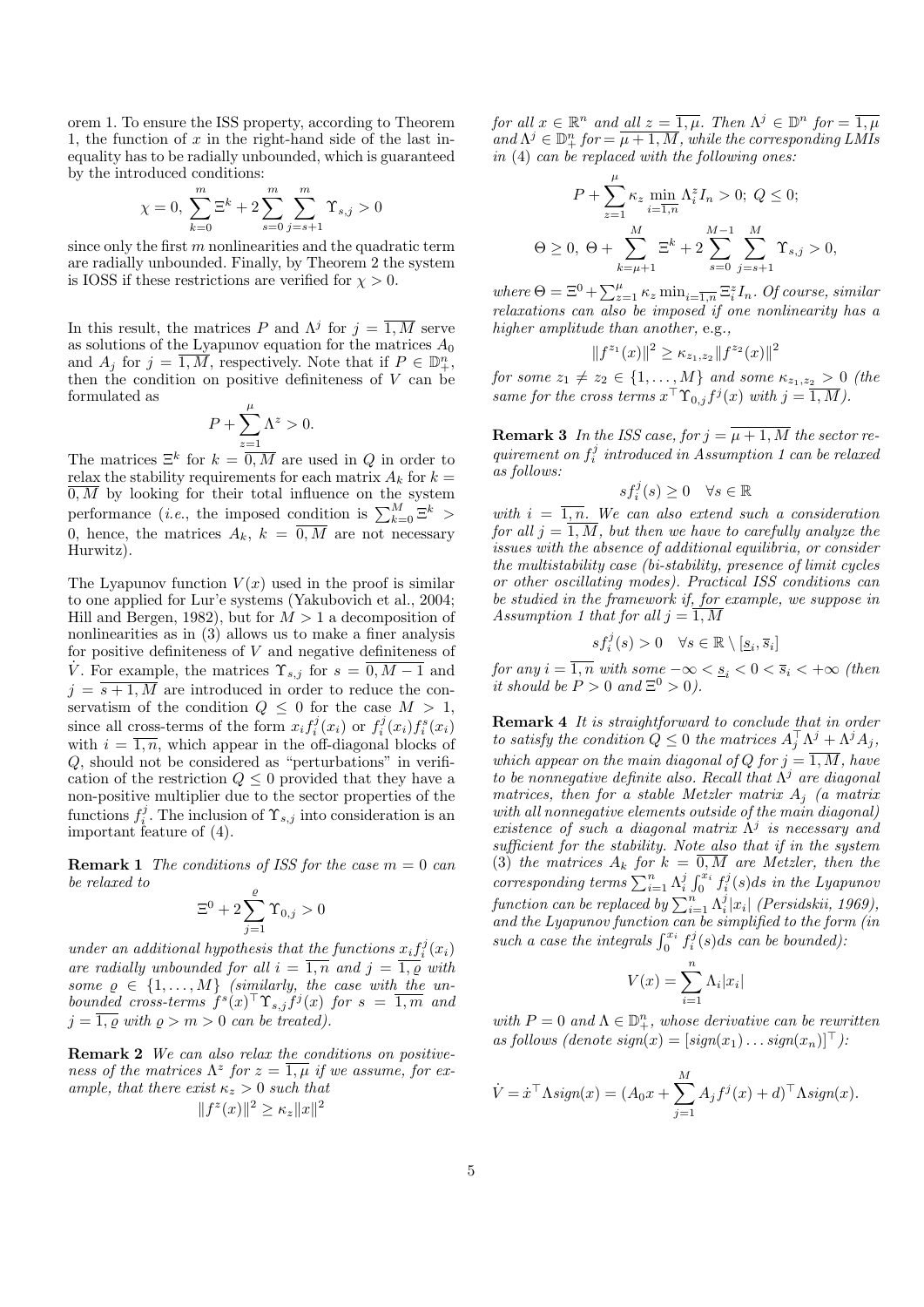orem 1. To ensure the ISS property, according to Theorem 1, the function of  $x$  in the right-hand side of the last inequality has to be radially unbounded, which is guaranteed by the introduced conditions:

$$
\chi = 0, \sum_{k=0}^{m} \Xi^{k} + 2 \sum_{s=0}^{m} \sum_{j=s+1}^{m} \Upsilon_{s,j} > 0
$$

since only the first  $m$  nonlinearities and the quadratic term are radially unbounded. Finally, by Theorem 2 the system is IOSS if these restrictions are verified for  $\chi > 0$ .

In this result, the matrices P and  $\Lambda^j$  for  $j = \overline{1,M}$  serve as solutions of the Lyapunov equation for the matrices  $\mathcal{A}_0$ and  $A_j$  for  $j = \overline{1,M}$ , respectively. Note that if  $P \in \mathbb{D}_+^n$ , then the condition on positive definiteness of  $V$  can be formulated as µ

$$
P + \sum_{z=1}^{n} \Lambda^z > 0.
$$

The matrices  $\Xi^k$  for  $k = \overline{0, M}$  are used in Q in order to relax the stability requirements for each matrix  $A_k$  for  $k =$  $\overline{0,M}$  by looking for their total influence on the system performance (*i.e.*, the imposed condition is  $\sum_{k=0}^{M} \Xi^k$ ) 0, hence, the matrices  $A_k$ ,  $k = 0$ , M are not necessary Hurwitz).

The Lyapunov function  $V(x)$  used in the proof is similar to one applied for Lur'e systems (Yakubovich et al., 2004; Hill and Bergen, 1982), but for  $M > 1$  a decomposition of nonlinearities as in (3) allows us to make a finer analysis for positive definiteness of  $V$  and negative definiteness of V. For example, the matrices  $\Upsilon_{s,j}$  for  $s = \overline{0, M-1}$  and  $j = \overline{s+1,M}$  are introduced in order to reduce the conservatism of the condition  $Q \leq 0$  for the case  $M > 1$ , since all cross-terms of the form  $x_i f_i^j(x_i)$  or  $f_i^j(x_i) f_i^s(x_i)$ with  $i = \overline{1, n}$ , which appear in the off-diagonal blocks of Q, should not be considered as "perturbations" in verification of the restriction  $Q \leq 0$  provided that they have a non-positive multiplier due to the sector properties of the functions  $f_i^j$ . The inclusion of  $\Upsilon_{s,j}$  into consideration is an important feature of (4).

**Remark 1** The conditions of ISS for the case  $m = 0$  can be relaxed to

$$
\Xi^0+2\sum_{j=1}^\varrho\Upsilon_{0,j}>0
$$

under an additional hypothesis that the functions  $x_i f_i^j(x_i)$ are radially unbounded for all  $i = \overline{1,n}$  and  $j = \overline{1, \varrho}$  with some  $\rho \in \{1, \ldots, M\}$  (similarly, the case with the unbounded cross-terms  $f^{s}(x)^\top \Upsilon_{s,j} f^{j}(x)$  for  $s = \overline{1,m}$  and  $j = \overline{1, \varrho}$  with  $\varrho > m > 0$  can be treated).

Remark 2 We can also relax the conditions on positiveness of the matrices  $\Lambda^z$  for  $z = \overline{1,\mu}$  if we assume, for example, that there exist  $\kappa_z > 0$  such that  $||f^z(x)||^2 \ge \kappa_z ||x||^2$ 

for all  $x \in \mathbb{R}^n$  and all  $z = \overline{1,\mu}$ . Then  $\Lambda^j \in \mathbb{D}^n$  for  $= \overline{1,\mu}$  $\mathcal{L}$  and  $\Lambda^j\in\mathbb{D}^n_+$  for  $=\overline{\mu+1,M},$  while the corresponding LMIs in (4) can be replaced with the following ones:

$$
P + \sum_{z=1}^{\mu} \kappa_z \min_{i=1,n} \Lambda_i^z I_n > 0; \ Q \le 0;
$$
  

$$
\Theta \ge 0, \ \Theta + \sum_{k=\mu+1}^{M} \Xi^k + 2 \sum_{s=0}^{M-1} \sum_{j=s+1}^{M} \Upsilon_{s,j} > 0,
$$

where  $\Theta = \Xi^0 + \sum_{z=1}^{\mu} \kappa_z \min_{i=\overline{1,n}} \Xi_i^z I_n$ . Of course, similar relaxations can also be imposed if one nonlinearity has a higher amplitude than another, e.g.,

$$
||f^{z_1}(x)||^2 \ge \kappa_{z_1, z_2} ||f^{z_2}(x)||^2
$$

for some  $z_1 \neq z_2 \in \{1, \ldots, M\}$  and some  $\kappa_{z_1, z_2} > 0$  (the same for the cross terms  $x^{\top} \Upsilon_{0,j} f^{j}(x)$  with  $j = \overline{1,M}$ ).

**Remark 3** In the ISS case, for  $j = \overline{\mu + 1, M}$  the sector requirement on  $f_i^j$  introduced in Assumption 1 can be relaxed as follows:

$$
sf_i^j(s) \ge 0 \quad \forall s \in \mathbb{R}
$$

with  $i = \overline{1, n}$ . We can also extend such a consideration for all  $j = \overline{1, M}$ , but then we have to carefully analyze the issues with the absence of additional equilibria, or consider the multistability case (bi-stability, presence of limit cycles or other oscillating modes). Practical ISS conditions can be studied in the framework if, for example, we suppose in Assumption 1 that for all  $j = \overline{1, M}$ 

$$
sf_i^j(s) > 0 \quad \forall s \in \mathbb{R} \setminus [\underline{s}_i, \overline{s}_i]
$$

for any  $i = \overline{1,n}$  with some  $-\infty < \underline{s}_i < 0 < \overline{s}_i < +\infty$  (then it should be  $P > 0$  and  $\Xi^0 > 0$ ).

Remark 4 It is straightforward to conclude that in order to satisfy the condition  $\tilde{Q} \leq 0$  the matrices  $A_j^{\top} \Lambda^j + \Lambda^j A_j$ , which appear on the main diagonal of Q for  $j = 1, M$ , have to be nonnegative definite also. Recall that  $\Lambda^j$  are diagonal matrices, then for a stable Metzler matrix  $A_i$  (a matrix with all nonnegative elements outside of the main diagonal) existence of such a diagonal matrix  $\Lambda^j$  is necessary and sufficient for the stability. Note also that if in the system (3) the matrices  $A_k$  for  $k = 0, M$  are Metzler, then the corresponding terms  $\sum_{i=1}^n \Lambda_i^j \int_0^{x_i} f_i^j(s) ds$  in the Lyapunov function can be replaced by  $\sum_{i=1}^{n} \Lambda_i^j |x_i|$  (Persidskii, 1969), and the Lyapunov function can be simplified to the form (in such a case the integrals  $\int_0^{x_i} f_i^j(s) ds$  can be bounded).

$$
V(x) = \sum_{i=1}^{n} \Lambda_i |x_i|
$$

with  $P = 0$  and  $\Lambda \in \mathbb{D}_{+}^{n}$ , whose derivative can be rewritten as follows (denote  $sign(x) = [sign(x_1) \dots sign(x_n)]^{\top}$ ):

$$
\dot{V} = \dot{x}^\top \Lambda \text{sign}(x) = (A_0 x + \sum_{j=1}^M A_j f^j(x) + d)^\top \Lambda \text{sign}(x).
$$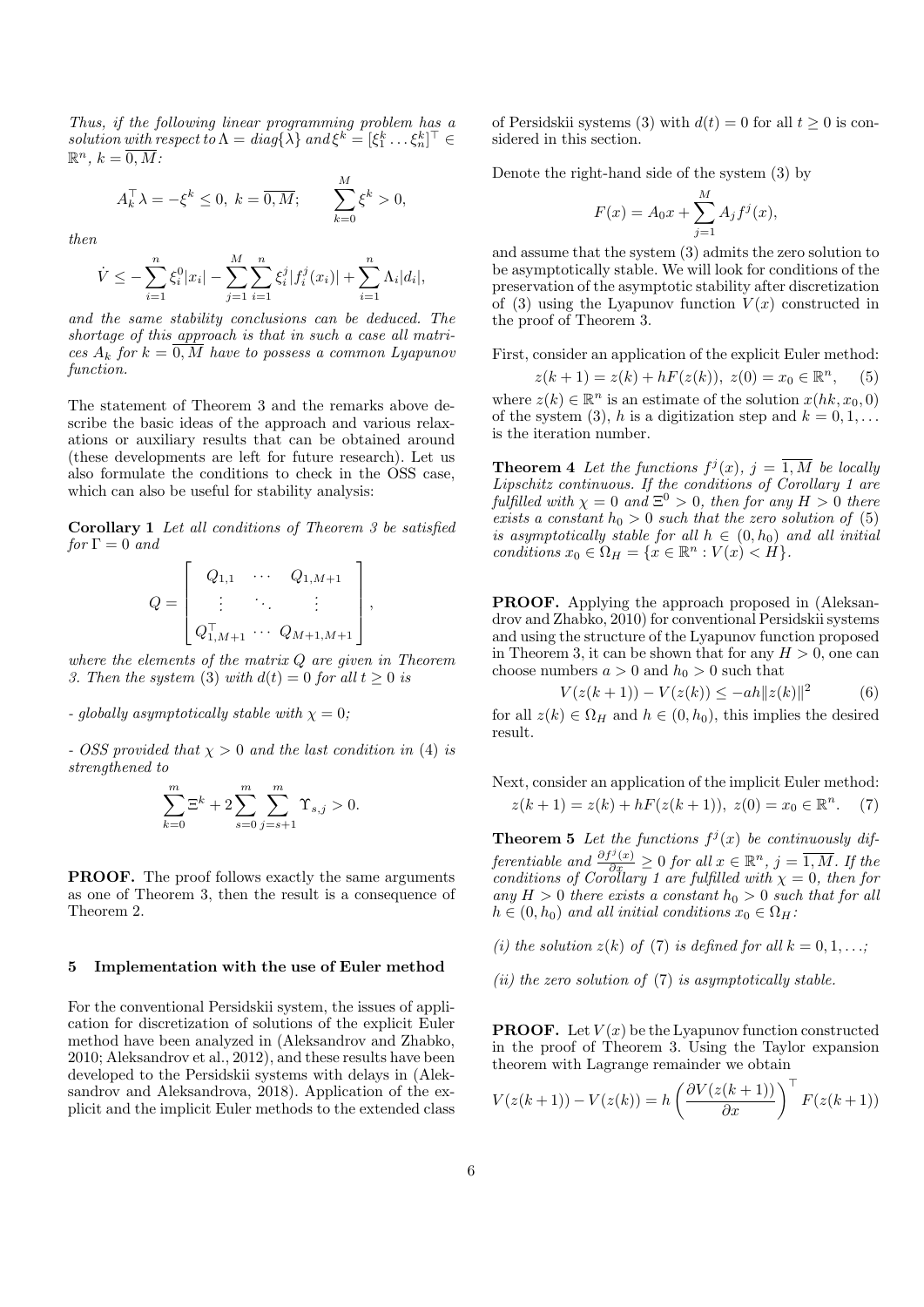Thus, if the following linear programming problem has a solution with respect to  $\Lambda = diag\{\tilde{\lambda}\}$  and  $\xi^k = [\xi_1^k \dots \xi_n^k]^\top \in$  $\mathbb{R}^n$ ,  $k = \overline{0, M}$ :

$$
A_k^{\top} \lambda = -\xi^k \le 0, \ k = \overline{0, M}; \qquad \sum_{k=0}^{M} \xi^k > 0,
$$

then

$$
\dot{V} \leq -\sum_{i=1}^{n} \xi_i^0 |x_i| - \sum_{j=1}^{M} \sum_{i=1}^{n} \xi_i^j |f_i^j(x_i)| + \sum_{i=1}^{n} \Lambda_i |d_i|,
$$

and the same stability conclusions can be deduced. The shortage of this approach is that in such a case all matrices  $A_k$  for  $k = \overline{0, M}$  have to possess a common Lyapunov function.

The statement of Theorem 3 and the remarks above describe the basic ideas of the approach and various relaxations or auxiliary results that can be obtained around (these developments are left for future research). Let us also formulate the conditions to check in the OSS case, which can also be useful for stability analysis:

Corollary 1 Let all conditions of Theorem 3 be satisfied  $for \Gamma = 0$  and

$$
Q = \begin{bmatrix} Q_{1,1} & \cdots & Q_{1,M+1} \\ \vdots & \ddots & \vdots \\ Q_{1,M+1}^{\top} & \cdots & Q_{M+1,M+1} \end{bmatrix},
$$

where the elements of the matrix  $Q$  are given in Theorem 3. Then the system (3) with  $d(t) = 0$  for all  $t \ge 0$  is

- globally asymptotically stable with  $\chi = 0$ ;

- OSS provided that  $\chi > 0$  and the last condition in (4) is strengthened to

$$
\sum_{k=0}^{m} \Xi^{k} + 2 \sum_{s=0}^{m} \sum_{j=s+1}^{m} \Upsilon_{s,j} > 0.
$$

PROOF. The proof follows exactly the same arguments as one of Theorem 3, then the result is a consequence of Theorem 2.

#### 5 Implementation with the use of Euler method

For the conventional Persidskii system, the issues of application for discretization of solutions of the explicit Euler method have been analyzed in (Aleksandrov and Zhabko, 2010; Aleksandrov et al., 2012), and these results have been developed to the Persidskii systems with delays in (Aleksandrov and Aleksandrova, 2018). Application of the explicit and the implicit Euler methods to the extended class of Persidskii systems (3) with  $d(t) = 0$  for all  $t > 0$  is considered in this section.

Denote the right-hand side of the system (3) by

$$
F(x) = A_0 x + \sum_{j=1}^{M} A_j f^j(x),
$$

and assume that the system (3) admits the zero solution to be asymptotically stable. We will look for conditions of the preservation of the asymptotic stability after discretization of (3) using the Lyapunov function  $V(x)$  constructed in the proof of Theorem 3.

First, consider an application of the explicit Euler method:

 $z(k+1) = z(k) + hF(z(k)), z(0) = x_0 \in \mathbb{R}^n$  $(5)$ 

where  $z(k) \in \mathbb{R}^n$  is an estimate of the solution  $x(hk, x_0, 0)$ of the system (3), h is a digitization step and  $k = 0, 1, \ldots$ is the iteration number.

**Theorem 4** Let the functions  $f^{j}(x)$ ,  $j = \overline{1,M}$  be locally Lipschitz continuous. If the conditions of Corollary 1 are fulfilled with  $\chi = 0$  and  $\Xi^0 > 0$ , then for any  $H > 0$  there exists a constant  $h_0 > 0$  such that the zero solution of (5) is asymptotically stable for all  $h \in (0, h_0)$  and all initial conditions  $x_0 \in \Omega_H = \{x \in \mathbb{R}^n : V(x) < H\}.$ 

PROOF. Applying the approach proposed in (Aleksandrov and Zhabko, 2010) for conventional Persidskii systems and using the structure of the Lyapunov function proposed in Theorem 3, it can be shown that for any  $H > 0$ , one can choose numbers  $a > 0$  and  $h_0 > 0$  such that

$$
V(z(k+1)) - V(z(k)) \le -ah||z(k)||^2 \tag{6}
$$

for all  $z(k) \in \Omega_H$  and  $h \in (0, h_0)$ , this implies the desired result.

Next, consider an application of the implicit Euler method:  $z(k+1) = z(k) + hF(z(k+1)), z(0) = x_0 \in \mathbb{R}^n$ . (7)

**Theorem 5** Let the functions  $f^j(x)$  be continuously differentiable and  $\frac{\partial f^j(x)}{\partial x_i} \geq 0$  for all  $x \in \mathbb{R}^n$ ,  $j = \overline{1, M}$ . If the conditions of Corollary 1 are fulfilled with  $\chi = 0$ , then for any  $H > 0$  there exists a constant  $h_0 > 0$  such that for all  $h \in (0, h_0)$  and all initial conditions  $x_0 \in \Omega_H$ :

(i) the solution  $z(k)$  of (7) is defined for all  $k = 0, 1, \ldots$ ;

(ii) the zero solution of  $(7)$  is asymptotically stable.

**PROOF.** Let  $V(x)$  be the Lyapunov function constructed in the proof of Theorem 3. Using the Taylor expansion theorem with Lagrange remainder we obtain

$$
V(z(k+1)) - V(z(k)) = h \left(\frac{\partial V(z(k+1))}{\partial x}\right)^{\top} F(z(k+1))
$$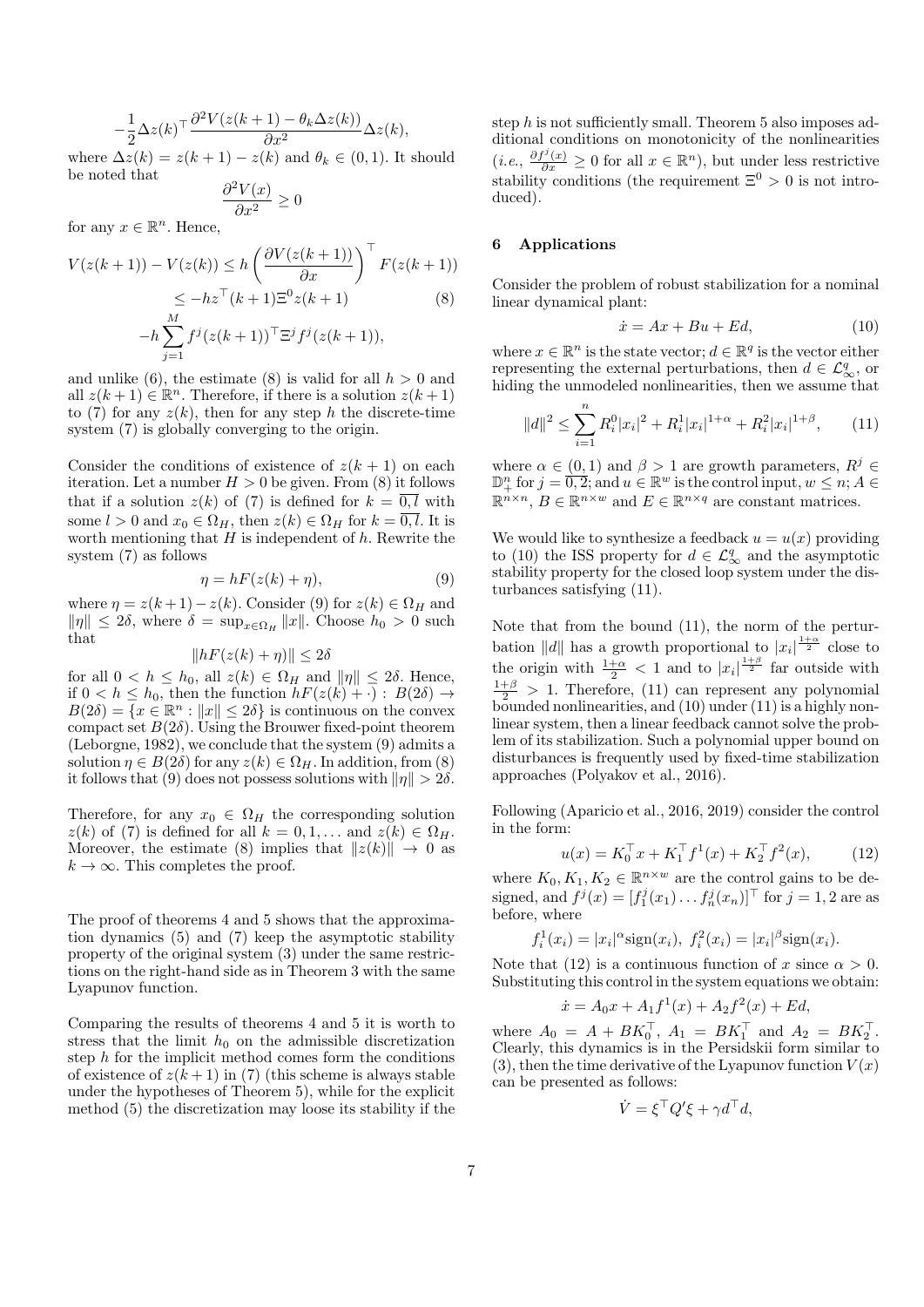$$
-\frac{1}{2}\Delta z(k)^{\top}\frac{\partial^2 V(z(k+1) - \theta_k \Delta z(k))}{\partial x^2} \Delta z(k),
$$

where  $\Delta z(k) = z(k+1) - z(k)$  and  $\theta_k \in (0,1)$ . It should be noted that

$$
\frac{\partial^2 V(x)}{\partial x^2} \ge 0
$$

for any  $x \in \mathbb{R}^n$ . Hence,

$$
V(z(k+1)) - V(z(k)) \le h \left(\frac{\partial V(z(k+1))}{\partial x}\right)^{\top} F(z(k+1))
$$
  
\n
$$
\le -hz^{\top}(k+1)\Xi^{0}z(k+1)
$$
(8)  
\n
$$
-h \sum_{j=1}^{M} f^{j}(z(k+1))^{\top} \Xi^{j} f^{j}(z(k+1)),
$$

and unlike (6), the estimate (8) is valid for all  $h > 0$  and all  $z(k+1) \in \mathbb{R}^n$ . Therefore, if there is a solution  $z(k+1)$ to (7) for any  $z(k)$ , then for any step h the discrete-time system (7) is globally converging to the origin.

Consider the conditions of existence of  $z(k + 1)$  on each iteration. Let a number  $H > 0$  be given. From (8) it follows that if a solution  $z(k)$  of (7) is defined for  $k = \overline{0, l}$  with some  $l > 0$  and  $x_0 \in \Omega_H$ , then  $z(k) \in \Omega_H$  for  $k = \overline{0, l}$ . It is worth mentioning that  $H$  is independent of  $h$ . Rewrite the system (7) as follows

$$
\eta = hF(z(k) + \eta),\tag{9}
$$

where  $\eta = z(k+1) - z(k)$ . Consider (9) for  $z(k) \in \Omega_H$  and  $\|\eta\| \leq 2\delta$ , where  $\delta = \sup_{x \in \Omega_H} \|x\|$ . Choose  $h_0 > 0$  such that

$$
||hF(z(k) + \eta)|| \le 2\delta
$$

for all  $0 < h \leq h_0$ , all  $z(k) \in \Omega_H$  and  $\|\eta\| \leq 2\delta$ . Hence, if  $0 < h \leq h_0$ , then the function  $hF(z(k) + \cdot) : B(2\delta) \rightarrow$  $B(2\delta) = \overline{\{x \in \mathbb{R}^n : ||x|| \leq 2\delta\}}$  is continuous on the convex compact set  $B(2\delta)$ . Using the Brouwer fixed-point theorem (Leborgne, 1982), we conclude that the system (9) admits a solution  $\eta \in B(2\delta)$  for any  $z(k) \in \Omega_H$ . In addition, from (8) it follows that (9) does not possess solutions with  $\|\eta\| > 2\delta$ .

Therefore, for any  $x_0 \in \Omega_H$  the corresponding solution  $z(k)$  of (7) is defined for all  $k = 0, 1, \ldots$  and  $z(k) \in \Omega_H$ . Moreover, the estimate (8) implies that  $||z(k)|| \rightarrow 0$  as  $k \to \infty$ . This completes the proof.

The proof of theorems 4 and 5 shows that the approximation dynamics (5) and (7) keep the asymptotic stability property of the original system (3) under the same restrictions on the right-hand side as in Theorem 3 with the same Lyapunov function.

Comparing the results of theorems 4 and 5 it is worth to stress that the limit  $h_0$  on the admissible discretization step  $h$  for the implicit method comes form the conditions of existence of  $z(k+1)$  in (7) (this scheme is always stable under the hypotheses of Theorem 5), while for the explicit method (5) the discretization may loose its stability if the step h is not sufficiently small. Theorem 5 also imposes additional conditions on monotonicity of the nonlinearities  $(i.e., \frac{\partial f^j(x)}{\partial x} \geq 0 \text{ for all } x \in \mathbb{R}^n)$ , but under less restrictive stability conditions (the requirement  $\Xi^0 > 0$  is not introduced).

#### 6 Applications

Consider the problem of robust stabilization for a nominal linear dynamical plant:

$$
\dot{x} = Ax + Bu + Ed,\tag{10}
$$

where  $x \in \mathbb{R}^n$  is the state vector;  $d \in \mathbb{R}^q$  is the vector either representing the external perturbations, then  $d \in \mathcal{L}_{\infty}^q$ , or hiding the unmodeled nonlinearities, then we assume that

$$
||d||^2 \le \sum_{i=1}^n R_i^0 |x_i|^2 + R_i^1 |x_i|^{1+\alpha} + R_i^2 |x_i|^{1+\beta}, \qquad (11)
$$

where  $\alpha \in (0,1)$  and  $\beta > 1$  are growth parameters,  $R^j \in$  $\mathbb{D}_{+}^{n}$  for  $j = \overline{0,2}$ ; and  $u \in \mathbb{R}^{w}$  is the control input,  $w \leq n$ ;  $A \in$  $\mathbb{R}^{n \times n}$ ,  $B \in \mathbb{R}^{n \times w}$  and  $E \in \mathbb{R}^{n \times q}$  are constant matrices.

We would like to synthesize a feedback  $u = u(x)$  providing to (10) the ISS property for  $d \in \mathcal{L}_{\infty}^q$  and the asymptotic stability property for the closed loop system under the disturbances satisfying (11).

Note that from the bound (11), the norm of the perturbation ||d|| has a growth proportional to  $|x_i|^{\frac{1+\alpha}{2}}$  close to the origin with  $\frac{1+\alpha}{2} < 1$  and to  $|x_i|^{\frac{1+\beta}{2}}$  far outside with  $\frac{1+\beta}{2} > 1$ . Therefore, (11) can represent any polynomial  $b\ddot{o}$ unded nonlinearities, and  $(10)$  under  $(11)$  is a highly nonlinear system, then a linear feedback cannot solve the problem of its stabilization. Such a polynomial upper bound on disturbances is frequently used by fixed-time stabilization approaches (Polyakov et al., 2016).

Following (Aparicio et al., 2016, 2019) consider the control in the form:

$$
u(x) = K_0^{\top} x + K_1^{\top} f^1(x) + K_2^{\top} f^2(x), \tag{12}
$$

where  $K_0, K_1, K_2 \in \mathbb{R}^{n \times w}$  are the control gains to be designed, and  $f^{j}(x) = [f_1^{j}(x_1)... f_n^{j}(x_n)]^{\top}$  for  $j = 1, 2$  are as before, where

$$
f_i^1(x_i) = |x_i|^{\alpha} \text{sign}(x_i), f_i^2(x_i) = |x_i|^{\beta} \text{sign}(x_i).
$$

Note that (12) is a continuous function of x since  $\alpha > 0$ . Substituting this control in the system equations we obtain:

$$
\dot{x} = A_0 x + A_1 f^1(x) + A_2 f^2(x) + Ed,
$$

where  $A_0 = A + BK_0^{\top}, A_1 = BK_1^{\top}$  and  $A_2 = BK_2^{\top}$ . Clearly, this dynamics is in the Persidskii form similar to  $(3)$ , then the time derivative of the Lyapunov function  $V(x)$ can be presented as follows:

$$
\dot{V} = \xi^{\top} Q' \xi + \gamma d^{\top} d,
$$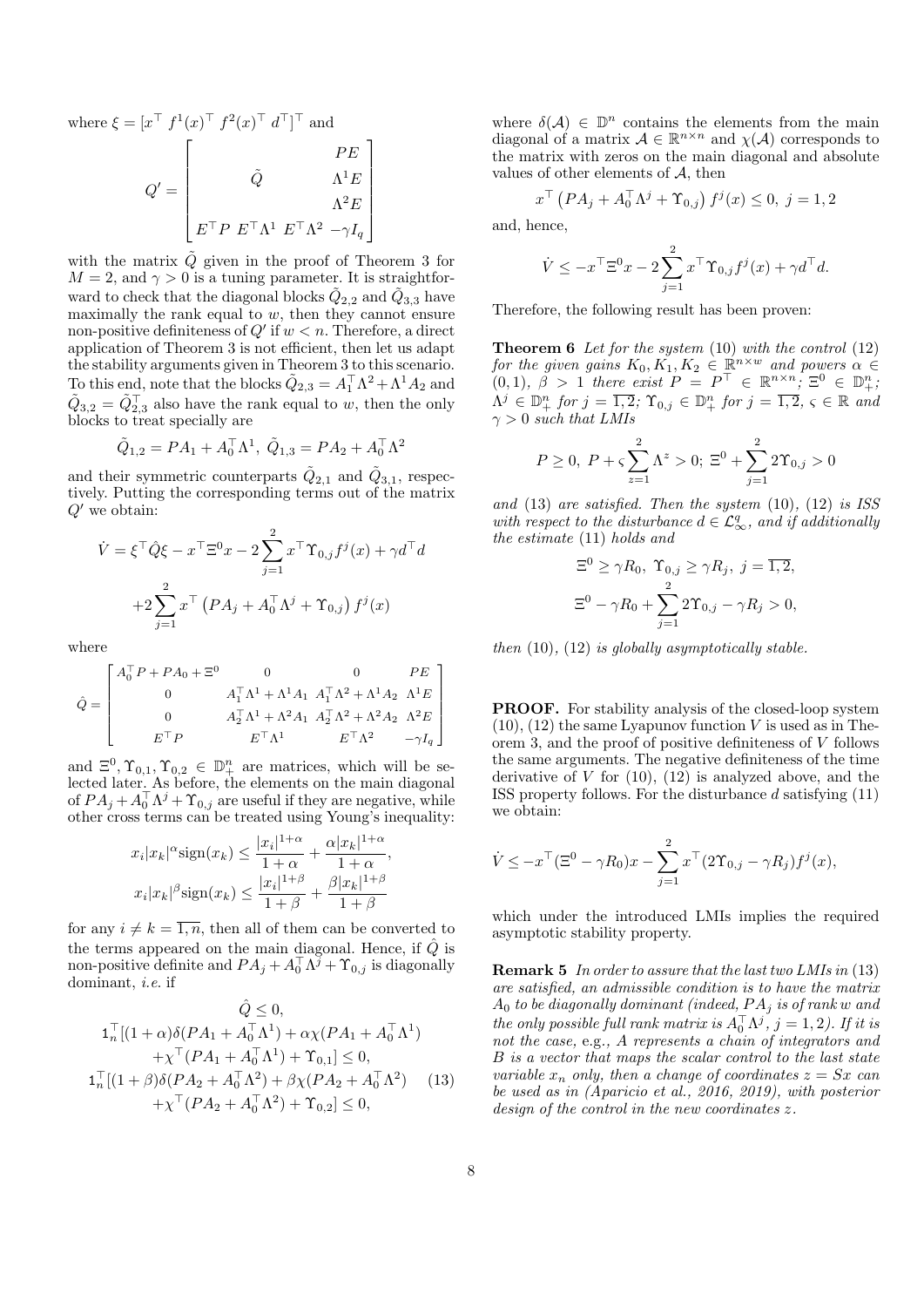where  $\xi = [x^\top f^1(x)^\top f^2(x)^\top d^\top]^\top$  and

$$
Q' = \begin{bmatrix} PE \\ \tilde{Q} & \Lambda^1 E \\ \Lambda^2 E \\ E^\top P & E^\top \Lambda^1 & E^\top \Lambda^2 & -\gamma I_q \end{bmatrix}
$$

with the matrix  $\tilde{Q}$  given in the proof of Theorem 3 for  $M = 2$ , and  $\gamma > 0$  is a tuning parameter. It is straightforward to check that the diagonal blocks  $\tilde{Q}_{2,2}$  and  $\tilde{Q}_{3,3}$  have maximally the rank equal to  $w$ , then they cannot ensure non-positive definiteness of  $Q'$  if  $w < n$ . Therefore, a direct application of Theorem 3 is not efficient, then let us adapt the stability arguments given in Theorem 3 to this scenario. To this end, note that the blocks  $\tilde{Q}_{2,3} = A_1^{\top} \Lambda^2 + \Lambda^1 A_2$  and  $\tilde{Q}_{3,2} = \tilde{Q}_{2,3}^{\top}$  also have the rank equal to w, then the only blocks to treat specially are

$$
\tilde{Q}_{1,2} = PA_1 + A_0^{\top} \Lambda^1, \ \tilde{Q}_{1,3} = PA_2 + A_0^{\top} \Lambda^2
$$

and their symmetric counterparts  $\tilde{Q}_{2,1}$  and  $\tilde{Q}_{3,1}$ , respectively. Putting the corresponding terms out of the matrix  $Q'$  we obtain:

$$
\dot{V} = \xi^{\top} \hat{Q} \xi - x^{\top} \Xi^{0} x - 2 \sum_{j=1}^{2} x^{\top} \Upsilon_{0,j} f^{j}(x) + \gamma d^{\top} d
$$

$$
+ 2 \sum_{j=1}^{2} x^{\top} (PA_{j} + A_{0}^{\top} \Lambda^{j} + \Upsilon_{0,j}) f^{j}(x)
$$

where

$$
\hat{Q} = \begin{bmatrix} A_0^{\top} P + P A_0 + \Xi^0 & 0 & 0 & PE \\ 0 & A_1^{\top} \Lambda^1 + \Lambda^1 A_1 & A_1^{\top} \Lambda^2 + \Lambda^1 A_2 & \Lambda^1 E \\ 0 & A_2^{\top} \Lambda^1 + \Lambda^2 A_1 & A_2^{\top} \Lambda^2 + \Lambda^2 A_2 & \Lambda^2 E \\ E^{\top} P & E^{\top} \Lambda^1 & E^{\top} \Lambda^2 & -\gamma I_q \end{bmatrix}
$$

and  $\Xi^0$ ,  $\Upsilon_{0,1}$ ,  $\Upsilon_{0,2} \in \mathbb{D}^n_+$  are matrices, which will be selected later. As before, the elements on the main diagonal of  $PA_j + A_0^{\top} \Lambda^j + \Upsilon_{0,j}$  are useful if they are negative, while other cross terms can be treated using Young's inequality:

$$
x_i|x_k|^{\alpha} \text{sign}(x_k) \le \frac{|x_i|^{1+\alpha}}{1+\alpha} + \frac{\alpha |x_k|^{1+\alpha}}{1+\alpha},
$$
  

$$
x_i|x_k|^{\beta} \text{sign}(x_k) \le \frac{|x_i|^{1+\beta}}{1+\beta} + \frac{\beta |x_k|^{1+\beta}}{1+\beta}
$$

for any  $i \neq k = \overline{1, n}$ , then all of them can be converted to the terms appeared on the main diagonal. Hence, if  $\hat{Q}$  is non-positive definite and  $PA_j + A_0^{\top} \Lambda^j + \Upsilon_{0,j}$  is diagonally dominant, i.e. if

$$
\hat{Q} \leq 0,
$$
\n
$$
1_n^{\top}[(1+\alpha)\delta(PA_1 + A_0^{\top}\Lambda^1) + \alpha \chi(PA_1 + A_0^{\top}\Lambda^1) + \chi^{\top}(PA_1 + A_0^{\top}\Lambda^1) + \gamma \chi^{\top}(PA_1 + A_0^{\top}\Lambda^1) + \Upsilon_{0,1}] \leq 0,
$$
\n
$$
1_n^{\top}[(1+\beta)\delta(PA_2 + A_0^{\top}\Lambda^2) + \beta \chi(PA_2 + A_0^{\top}\Lambda^2) \quad (13) + \chi^{\top}(PA_2 + A_0^{\top}\Lambda^2) + \Upsilon_{0,2}] \leq 0,
$$

where  $\delta(\mathcal{A}) \in \mathbb{D}^n$  contains the elements from the main diagonal of a matrix  $A \in \mathbb{R}^{n \times n}$  and  $\chi(A)$  corresponds to the matrix with zeros on the main diagonal and absolute values of other elements of  $A$ , then

$$
x^{\top} \left( PA_{j} + A_{0}^{\top} \Lambda^{j} + \Upsilon_{0,j} \right) f^{j}(x) \le 0, \ j = 1, 2
$$

and, hence,

$$
\dot{V} \le -x^{\top} \Xi^{0} x - 2 \sum_{j=1}^{2} x^{\top} \Upsilon_{0,j} f^{j}(x) + \gamma d^{\top} d.
$$

Therefore, the following result has been proven:

**Theorem 6** Let for the system  $(10)$  with the control  $(12)$ for the given gains  $K_0, K_1, K_2 \in \mathbb{R}^{n \times w}$  and powers  $\alpha \in$  $(0,1), \ \tilde{\beta} > 1$  there exist  $P = P^{\top} \in \mathbb{R}^{n \times n}$ ;  $\Xi^0 \in \mathbb{D}_+^n$ ,  $\Lambda^j \in \mathbb{D}_+^n$  for  $j = \overline{1,2}$ ;  $\Upsilon_{0,j} \in \mathbb{D}_+^n$  for  $j = \overline{1,2}$ ,  $\varsigma \in \mathbb{R}$  and  $\gamma > 0$  such that LMIs

$$
P \ge 0
$$
,  $P + \varsigma \sum_{z=1}^{2} \Lambda^{z} > 0$ ;  $\Xi^{0} + \sum_{j=1}^{2} 2\Upsilon_{0,j} > 0$ 

and  $(13)$  are satisfied. Then the system  $(10)$ ,  $(12)$  is ISS with respect to the disturbance  $d \in \mathcal{L}_{\infty}^q$ , and if additionally the estimate (11) holds and

$$
\Xi^0 \ge \gamma R_0, \ \Upsilon_{0,j} \ge \gamma R_j, \ j = \overline{1,2},
$$
  

$$
\Xi^0 - \gamma R_0 + \sum_{j=1}^2 2\Upsilon_{0,j} - \gamma R_j > 0,
$$

then  $(10)$ ,  $(12)$  is globally asymptotically stable.

PROOF. For stability analysis of the closed-loop system  $(10)$ ,  $(12)$  the same Lyapunov function V is used as in Theorem 3, and the proof of positive definiteness of V follows the same arguments. The negative definiteness of the time derivative of  $V$  for  $(10)$ ,  $(12)$  is analyzed above, and the ISS property follows. For the disturbance  $d$  satisfying  $(11)$ we obtain:

$$
\dot{V} \leq -x^{\top}(\Xi^{0} - \gamma R_{0})x - \sum_{j=1}^{2} x^{\top} (2\Upsilon_{0,j} - \gamma R_{j}) f^{j}(x),
$$

which under the introduced LMIs implies the required asymptotic stability property.

Remark 5 In order to assure that the last two LMIs in (13) are satisfied, an admissible condition is to have the matrix  $A_0$  to be diagonally dominant (indeed,  $PA_j$  is of rank w and the only possible full rank matrix is  $A_0^{\dagger} \Lambda^j$ ,  $j = 1, 2$ ). If it is not the case, e.g., A represents a chain of integrators and B is a vector that maps the scalar control to the last state variable  $x_n$  only, then a change of coordinates  $z = Sx$  can be used as in (Aparicio et al., 2016, 2019), with posterior design of the control in the new coordinates z.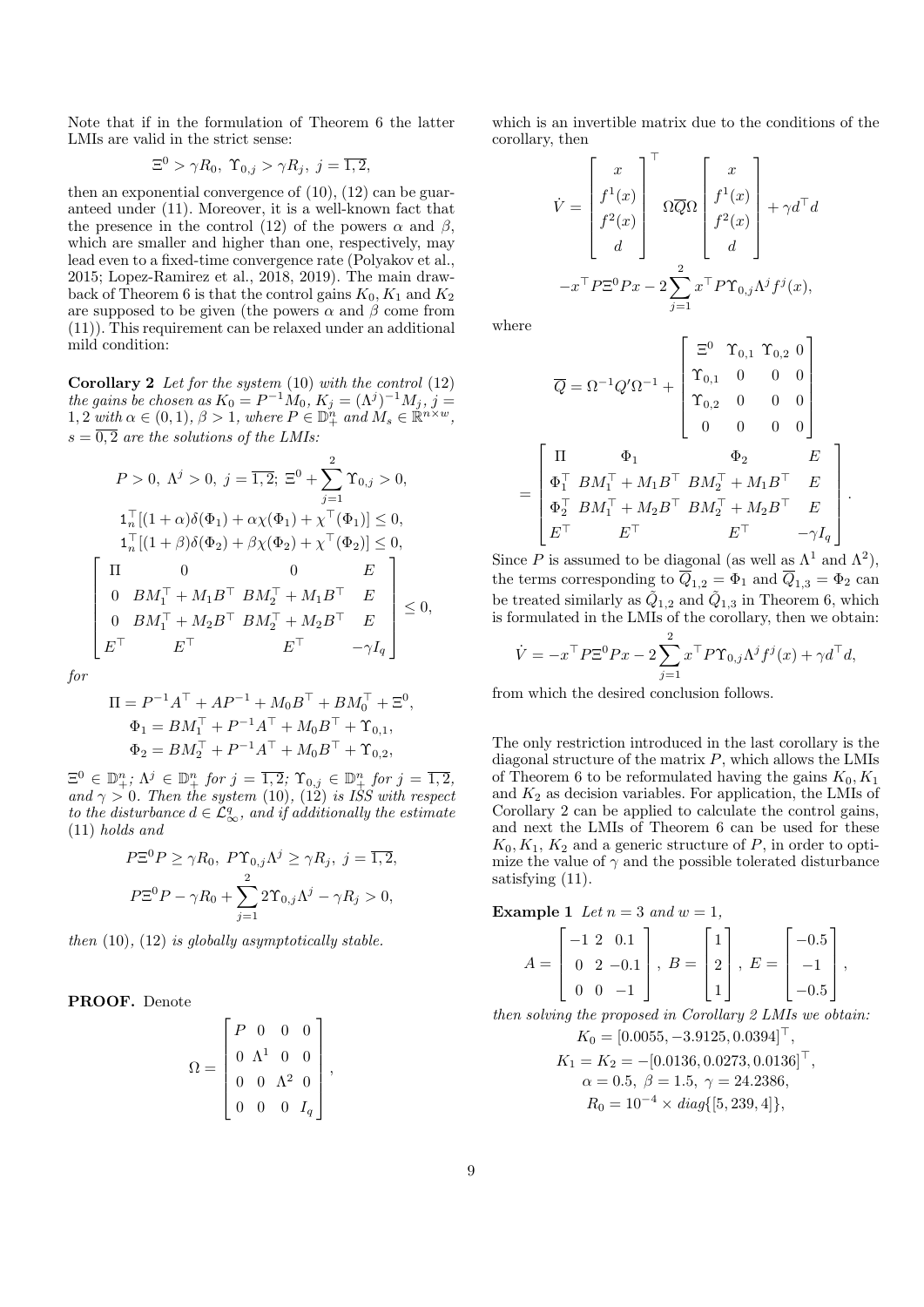Note that if in the formulation of Theorem 6 the latter LMIs are valid in the strict sense:

$$
\Xi^0 > \gamma R_0, \ \Upsilon_{0,j} > \gamma R_j, \ j = \overline{1,2},
$$

then an exponential convergence of  $(10)$ ,  $(12)$  can be guaranteed under (11). Moreover, it is a well-known fact that the presence in the control (12) of the powers  $\alpha$  and  $\beta$ , which are smaller and higher than one, respectively, may lead even to a fixed-time convergence rate (Polyakov et al., 2015; Lopez-Ramirez et al., 2018, 2019). The main drawback of Theorem 6 is that the control gains  $K_0, K_1$  and  $K_2$ are supposed to be given (the powers  $\alpha$  and  $\beta$  come from (11)). This requirement can be relaxed under an additional mild condition:

**Corollary 2** Let for the system  $(10)$  with the control  $(12)$ the gains be chosen as  $K_0 = P^{-1}M_0$ ,  $K_j = (\Lambda^j)^{-1}M_j$ ,  $j =$ 1, 2 with  $\alpha \in (0,1)$ ,  $\beta > 1$ , where  $P \in \mathbb{D}_{+}^{n}$  and  $M_s \in \mathbb{R}^{n \times w}$ ,  $s = \overline{0, 2}$  are the solutions of the LMIs:

$$
P > 0, \ \Lambda^j > 0, \ j = \overline{1, 2}; \ \Xi^0 + \sum_{j=1}^2 \Upsilon_{0,j} > 0,
$$
  
\n
$$
1_n^{\top}[(1+\alpha)\delta(\Phi_1) + \alpha \chi(\Phi_1) + \chi^{\top}(\Phi_1)] \le 0,
$$
  
\n
$$
1_n^{\top}[(1+\beta)\delta(\Phi_2) + \beta \chi(\Phi_2) + \chi^{\top}(\Phi_2)] \le 0,
$$
  
\n
$$
\begin{bmatrix} \Pi & 0 & 0 & E \\ 0 & BM_1^{\top} + M_1B^{\top} & BM_2^{\top} + M_1B^{\top} & E \\ 0 & BM_1^{\top} + M_2B^{\top} & BM_2^{\top} + M_2B^{\top} & E \\ E^{\top} & E^{\top} & -\gamma I_q \end{bmatrix} \le 0,
$$

for

$$
\Pi = P^{-1}A^{\top} + AP^{-1} + M_0B^{\top} + BM_0^{\top} + \Xi^0,
$$
  
\n
$$
\Phi_1 = BM_1^{\top} + P^{-1}A^{\top} + M_0B^{\top} + \Upsilon_{0,1},
$$
  
\n
$$
\Phi_2 = BM_2^{\top} + P^{-1}A^{\top} + M_0B^{\top} + \Upsilon_{0,2},
$$

 $\Xi^0 \in \mathbb{D}^n_+$ ;  $\Lambda^j \in \mathbb{D}^n_+$  for  $j = \overline{1,2}$ ;  $\Upsilon_{0,j} \in \mathbb{D}^n_+$  for  $j = \overline{1,2}$ , and  $\gamma > 0$ . Then the system (10), (12) is ISS with respect to the disturbance  $d \in \mathcal{L}_{\infty}^q$ , and if additionally the estimate (11) holds and

$$
P\Xi^{0}P \geq \gamma R_{0}, \ P\Upsilon_{0,j}\Lambda^{j} \geq \gamma R_{j}, \ j = \overline{1,2},
$$
  

$$
P\Xi^{0}P - \gamma R_{0} + \sum_{j=1}^{2} 2\Upsilon_{0,j}\Lambda^{j} - \gamma R_{j} > 0,
$$

then  $(10)$ ,  $(12)$  is globally asymptotically stable.

PROOF. Denote

$$
\Omega = \begin{bmatrix} P & 0 & 0 & 0 \\ 0 & \Lambda^1 & 0 & 0 \\ 0 & 0 & \Lambda^2 & 0 \\ 0 & 0 & 0 & I_q \end{bmatrix},
$$

which is an invertible matrix due to the conditions of the corollary, then

$$
\dot{V} = \begin{bmatrix} x \\ f^1(x) \\ f^2(x) \\ d \end{bmatrix}^\top \Omega \overline{Q} \Omega \begin{bmatrix} x \\ f^1(x) \\ f^2(x) \\ d \end{bmatrix} + \gamma d^\top d
$$

$$
-x^\top P \Xi^0 P x - 2 \sum_{j=1}^2 x^\top P \Upsilon_{0,j} \Lambda^j f^j(x),
$$

where

=

$$
\overline{Q} = \Omega^{-1} Q' \Omega^{-1} + \begin{bmatrix} \Xi^0 & \Upsilon_{0,1} & \Upsilon_{0,2} & 0 \\ \Upsilon_{0,1} & 0 & 0 & 0 \\ \Upsilon_{0,2} & 0 & 0 & 0 \\ 0 & 0 & 0 & 0 \end{bmatrix}
$$

$$
= \begin{bmatrix} \Pi & \Phi_1 & \Phi_2 & E \\ \Phi_1^\top & BM_1^\top + M_1 B^\top & BM_2^\top + M_1 B^\top & E \\ \Phi_2^\top & BM_1^\top + M_2 B^\top & BM_2^\top + M_2 B^\top & E \\ E^\top & E^\top & -\gamma I_q \end{bmatrix}.
$$

Since P is assumed to be diagonal (as well as  $\Lambda^1$  and  $\Lambda^2$ ), the terms corresponding to  $\overline{Q}_{1,2} = \Phi_1$  and  $\overline{Q}_{1,3} = \Phi_2$  can be treated similarly as  $\tilde{Q}_{1,2}$  and  $\tilde{Q}_{1,3}$  in Theorem 6, which is formulated in the LMIs of the corollary, then we obtain:

$$
\dot{V} = -x^{\top} P \Xi^0 P x - 2 \sum_{j=1}^2 x^{\top} P \Upsilon_{0,j} \Lambda^j f^j(x) + \gamma d^{\top} d,
$$

from which the desired conclusion follows.

The only restriction introduced in the last corollary is the diagonal structure of the matrix  $P$ , which allows the LMIs of Theorem 6 to be reformulated having the gains  $K_0, K_1$ and  $K_2$  as decision variables. For application, the LMIs of Corollary 2 can be applied to calculate the control gains, and next the LMIs of Theorem 6 can be used for these  $K_0, K_1, K_2$  and a generic structure of P, in order to optimize the value of  $\gamma$  and the possible tolerated disturbance satisfying  $(11)$ .

**Example 1** Let 
$$
n = 3
$$
 and  $w = 1$ ,

$$
A = \begin{bmatrix} -1 & 2 & 0.1 \\ 0 & 2 & -0.1 \\ 0 & 0 & -1 \end{bmatrix}, B = \begin{bmatrix} 1 \\ 2 \\ 1 \end{bmatrix}, E = \begin{bmatrix} -0.5 \\ -1 \\ -0.5 \end{bmatrix},
$$

then solving the proposed in Corollary 2 LMIs we obtain:  $K_0 = [0.0055, -3.9125, 0.0394]^\top,$ 

$$
K_1 = K_2 = -[0.0136, 0.0273, 0.0136]^{\top},
$$
  
\n
$$
\alpha = 0.5, \ \beta = 1.5, \ \gamma = 24.2386,
$$
  
\n
$$
R_0 = 10^{-4} \times diag\{[5, 239, 4]\},
$$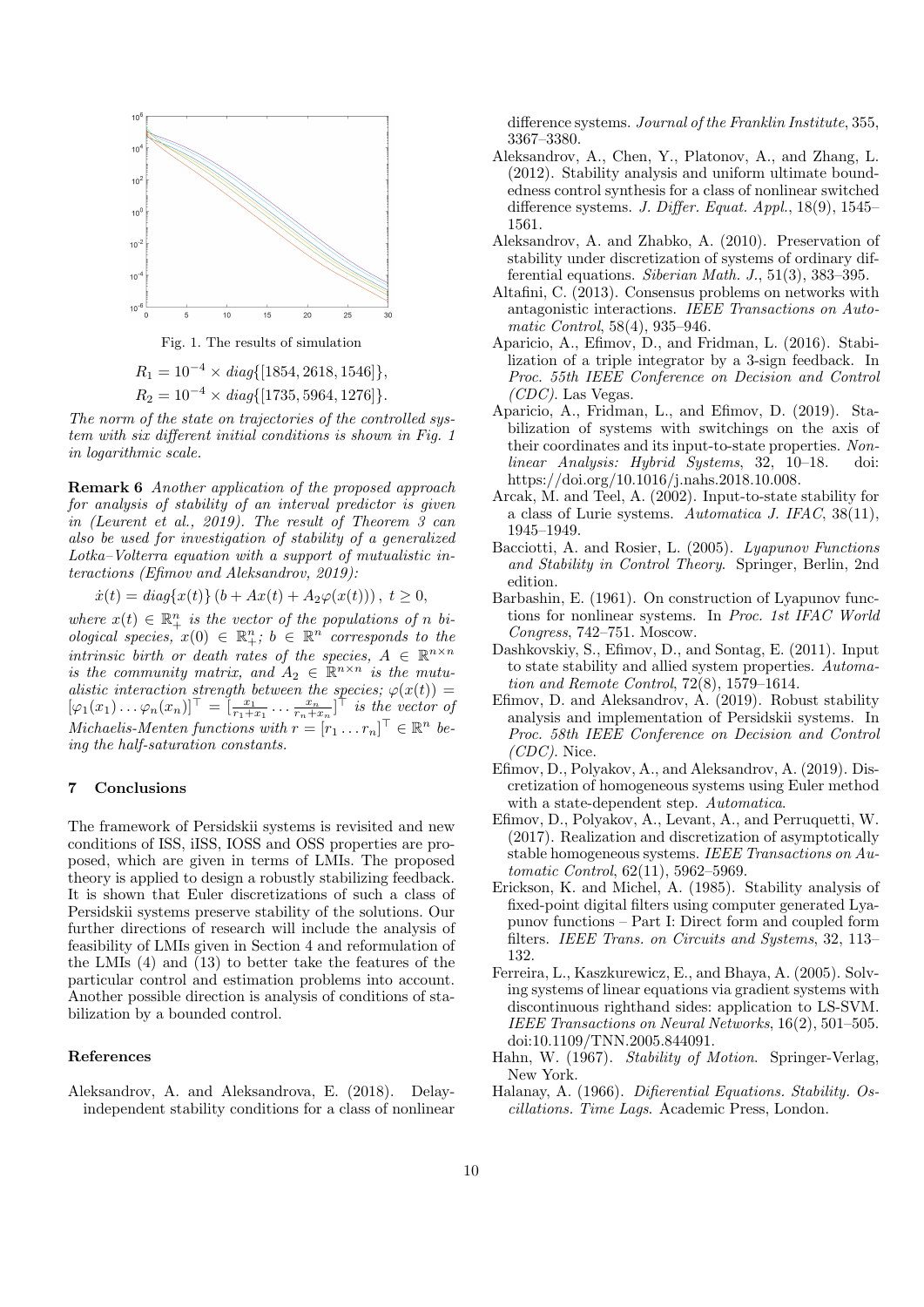

Fig. 1. The results of simulation

$$
R_1 = 10^{-4} \times diag\{[1854, 2618, 1546]\},
$$
  
\n
$$
R_2 = 10^{-4} \times diag\{[1735, 5964, 1276]\}.
$$

The norm of the state on trajectories of the controlled system with six different initial conditions is shown in Fig. 1 in logarithmic scale.

Remark 6 Another application of the proposed approach for analysis of stability of an interval predictor is given in (Leurent et al., 2019). The result of Theorem 3 can also be used for investigation of stability of a generalized Lotka–Volterra equation with a support of mutualistic interactions (Efimov and Aleksandrov, 2019):

 $\dot{x}(t) = diag\{x(t)\} (b + Ax(t) + A_2\varphi(x(t))), t \geq 0,$ 

where  $x(t) \in \mathbb{R}_+^n$  is the vector of the populations of n biological species,  $x(0) \in \mathbb{R}^n_+$ ;  $b \in \mathbb{R}^n$  corresponds to the intrinsic birth or death rates of the species,  $A \in \mathbb{R}^{n \times n}$ is the community matrix, and  $A_2 \in \mathbb{R}^{n \times n}$  is the mutualistic interaction strength between the species;  $\varphi(x(t)) =$  $[\varphi_1(x_1)\dots\varphi_n(x_n)]^{\top} = \left[\frac{x_1}{r_1+x_1}\dots\frac{x_n}{r_n+x_n}\right]^{\top}$  is the vector of Michaelis-Menten functions with  $r = [r_1 \dots r_n]^\top \in \mathbb{R}^n$  being the half-saturation constants.

#### 7 Conclusions

The framework of Persidskii systems is revisited and new conditions of ISS, iISS, IOSS and OSS properties are proposed, which are given in terms of LMIs. The proposed theory is applied to design a robustly stabilizing feedback. It is shown that Euler discretizations of such a class of Persidskii systems preserve stability of the solutions. Our further directions of research will include the analysis of feasibility of LMIs given in Section 4 and reformulation of the LMIs (4) and (13) to better take the features of the particular control and estimation problems into account. Another possible direction is analysis of conditions of stabilization by a bounded control.

#### References

Aleksandrov, A. and Aleksandrova, E. (2018). Delayindependent stability conditions for a class of nonlinear difference systems. Journal of the Franklin Institute, 355, 3367–3380.

- Aleksandrov, A., Chen, Y., Platonov, A., and Zhang, L. (2012). Stability analysis and uniform ultimate boundedness control synthesis for a class of nonlinear switched difference systems. J. Differ. Equat. Appl., 18(9), 1545– 1561.
- Aleksandrov, A. and Zhabko, A. (2010). Preservation of stability under discretization of systems of ordinary differential equations. Siberian Math. J., 51(3), 383–395.
- Altafini, C. (2013). Consensus problems on networks with antagonistic interactions. IEEE Transactions on Automatic Control, 58(4), 935–946.
- Aparicio, A., Efimov, D., and Fridman, L. (2016). Stabilization of a triple integrator by a 3-sign feedback. In Proc. 55th IEEE Conference on Decision and Control  $(CDC)$ . Las Vegas.
- Aparicio, A., Fridman, L., and Efimov, D. (2019). Stabilization of systems with switchings on the axis of their coordinates and its input-to-state properties. Nonlinear Analysis: Hybrid Systems, 32, 10–18. doi: https://doi.org/10.1016/j.nahs.2018.10.008.
- Arcak, M. and Teel, A. (2002). Input-to-state stability for a class of Lurie systems. Automatica J. IFAC, 38(11), 1945–1949.
- Bacciotti, A. and Rosier, L. (2005). Lyapunov Functions and Stability in Control Theory. Springer, Berlin, 2nd edition.
- Barbashin, E. (1961). On construction of Lyapunov functions for nonlinear systems. In Proc. 1st IFAC World Congress, 742–751. Moscow.
- Dashkovskiy, S., Efimov, D., and Sontag, E. (2011). Input to state stability and allied system properties. Automation and Remote Control, 72(8), 1579–1614.
- Efimov, D. and Aleksandrov, A. (2019). Robust stability analysis and implementation of Persidskii systems. In Proc. 58th IEEE Conference on Decision and Control  $(CDC)$ . Nice.
- Efimov, D., Polyakov, A., and Aleksandrov, A. (2019). Discretization of homogeneous systems using Euler method with a state-dependent step. Automatica.
- Efimov, D., Polyakov, A., Levant, A., and Perruquetti, W. (2017). Realization and discretization of asymptotically stable homogeneous systems. IEEE Transactions on Automatic Control, 62(11), 5962–5969.
- Erickson, K. and Michel, A. (1985). Stability analysis of fixed-point digital filters using computer generated Lyapunov functions – Part I: Direct form and coupled form filters. IEEE Trans. on Circuits and Systems, 32, 113– 132.
- Ferreira, L., Kaszkurewicz, E., and Bhaya, A. (2005). Solving systems of linear equations via gradient systems with discontinuous righthand sides: application to LS-SVM. IEEE Transactions on Neural Networks, 16(2), 501–505. doi:10.1109/TNN.2005.844091.
- Hahn, W. (1967). Stability of Motion. Springer-Verlag, New York.
- Halanay, A. (1966). Difierential Equations. Stability. Oscillations. Time Lags. Academic Press, London.